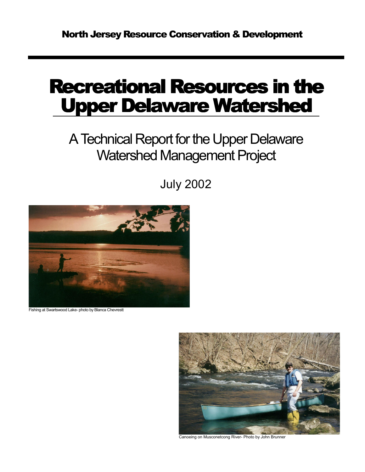# Recreational Resources in the **Upper Delaware Watershed**

## A Technical Report for the Upper Delaware Watershed Management Project

July 2002



Fishing at Swartswood Lake- photo by Blanca Chevrestt



Canoeing on Musconetcong River- Photo by John Brunner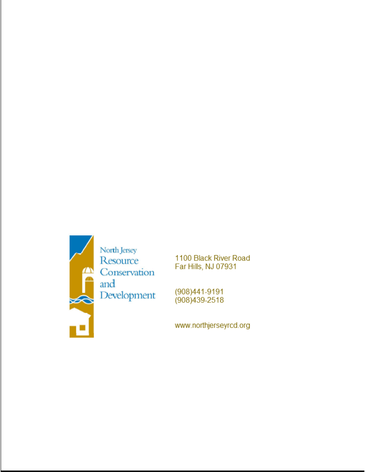

1100 Black River Road Far Hills, NJ 07931

(908)441-9191 (908) 439-2518

www.northjerseyrcd.org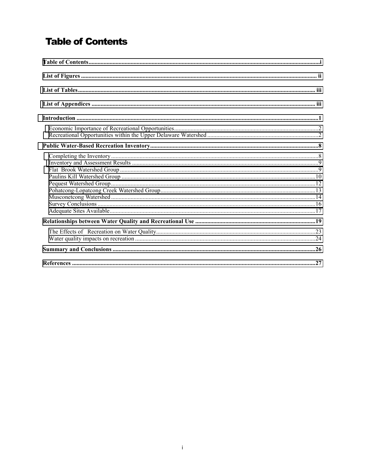## **Table of Contents**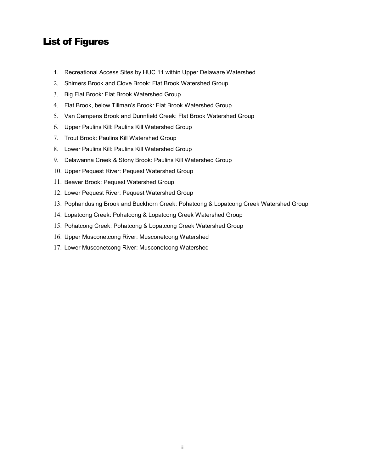## <span id="page-3-0"></span>List of Figures

- 1. Recreational Access Sites by HUC 11 within Upper Delaware Watershed
- 2. Shimers Brook and Clove Brook: Flat Brook Watershed Group
- 3. Big Flat Brook: Flat Brook Watershed Group
- 4. Flat Brook, below Tillman's Brook: Flat Brook Watershed Group
- 5. Van Campens Brook and Dunnfield Creek: Flat Brook Watershed Group
- 6. Upper Paulins Kill: Paulins Kill Watershed Group
- 7. Trout Brook: Paulins Kill Watershed Group
- 8. Lower Paulins Kill: Paulins Kill Watershed Group
- 9. Delawanna Creek & Stony Brook: Paulins Kill Watershed Group
- 10. Upper Pequest River: Pequest Watershed Group
- 11. Beaver Brook: Pequest Watershed Group
- 12. Lower Pequest River: Pequest Watershed Group
- 13. Pophandusing Brook and Buckhorn Creek: Pohatcong & Lopatcong Creek Watershed Group
- 14. Lopatcong Creek: Pohatcong & Lopatcong Creek Watershed Group
- 15. Pohatcong Creek: Pohatcong & Lopatcong Creek Watershed Group
- 16. Upper Musconetcong River: Musconetcong Watershed
- 17. Lower Musconetcong River: Musconetcong Watershed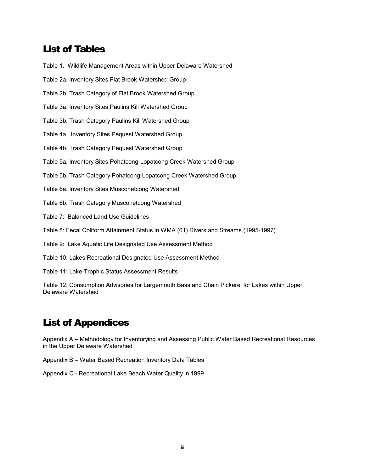## <span id="page-4-0"></span>List of Tables

Table 1. Wildlife Management Areas within Upper Delaware Watershed

Table 2a. Inventory Sites Flat Brook Watershed Group

Table 2b. Trash Category of Flat Brook Watershed Group

Table 3a. Inventory Sites Paulins Kill Watershed Group

Table 3b. Trash Category Paulins Kill Watershed Group

Table 4a. Inventory Sites Pequest Watershed Group

Table 4b. Trash Category Pequest Watershed Group

Table 5a. Inventory Sites Pohatcong-Lopatcong Creek Watershed Group

Table 5b. Trash Category Pohatcong-Lopatcong Creek Watershed Group

Table 6a. Inventory Sites Musconetcong Watershed

Table 6b. Trash Category Musconetcong Watershed

Table 7: Balanced Land Use Guidelines

Table 8: Fecal Coliform Attainment Status in WMA (01) Rivers and Streams (1995-1997)

Table 9: Lake Aquatic Life Designated Use Assessment Method

Table 10: Lakes Recreational Designated Use Assessment Method

Table 11: Lake Trophic Status Assessment Results

Table 12: Consumption Advisories for Largemouth Bass and Chain Pickerel for Lakes within Upper Delaware Watershed

## List of Appendices

Appendix A **–** Methodology for Inventorying and Assessing Public Water Based Recreational Resources in the Upper Delaware Watershed

Appendix B – Water Based Recreation Inventory Data Tables

Appendix C - Recreational Lake Beach Water Quality in 1999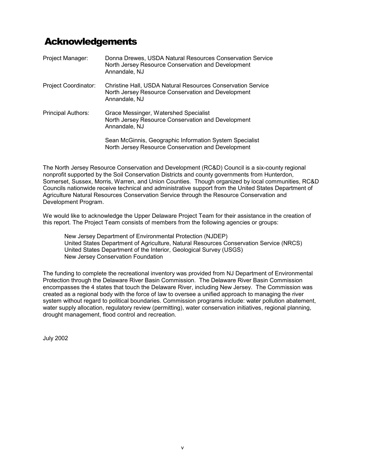## Acknowledgements

| Project Manager:          | Donna Drewes, USDA Natural Resources Conservation Service<br>North Jersey Resource Conservation and Development<br>Annandale, NJ          |
|---------------------------|-------------------------------------------------------------------------------------------------------------------------------------------|
| Project Coordinator:      | <b>Christine Hall, USDA Natural Resources Conservation Service</b><br>North Jersey Resource Conservation and Development<br>Annandale, NJ |
| <b>Principal Authors:</b> | Grace Messinger, Watershed Specialist<br>North Jersey Resource Conservation and Development<br>Annandale, NJ                              |
|                           | Sean McGinnis, Geographic Information System Specialist<br>North Jersey Resource Conservation and Development                             |

The North Jersey Resource Conservation and Development (RC&D) Council is a six-county regional nonprofit supported by the Soil Conservation Districts and county governments from Hunterdon, Somerset, Sussex, Morris, Warren, and Union Counties. Though organized by local communities, RC&D Councils nationwide receive technical and administrative support from the United States Department of Agriculture Natural Resources Conservation Service through the Resource Conservation and Development Program.

We would like to acknowledge the Upper Delaware Project Team for their assistance in the creation of this report. The Project Team consists of members from the following agencies or groups:

New Jersey Department of Environmental Protection (NJDEP) United States Department of Agriculture, Natural Resources Conservation Service (NRCS) United States Department of the Interior, Geological Survey (USGS) New Jersey Conservation Foundation

The funding to complete the recreational inventory was provided from NJ Department of Environmental Protection through the Delaware River Basin Commission. The Delaware River Basin Commission encompasses the 4 states that touch the Delaware River, including New Jersey. The Commission was created as a regional body with the force of law to oversee a unified approach to managing the river system without regard to political boundaries. Commission programs include: water pollution abatement, water supply allocation, regulatory review (permitting), water conservation initiatives, regional planning, drought management, flood control and recreation.

July 2002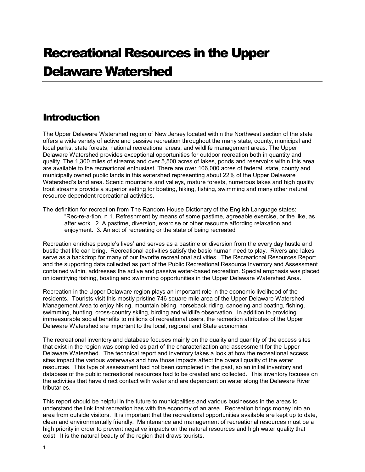## <span id="page-6-0"></span>Recreational Resources in the Upper Delaware Watershed

## **Introduction**

The Upper Delaware Watershed region of New Jersey located within the Northwest section of the state offers a wide variety of active and passive recreation throughout the many state, county, municipal and local parks, state forests, national recreational areas, and wildlife management areas. The Upper Delaware Watershed provides exceptional opportunities for outdoor recreation both in quantity and quality. The 1,300 miles of streams and over 5,500 acres of lakes, ponds and reservoirs within this area are available to the recreational enthusiast. There are over 106,000 acres of federal, state, county and municipally owned public lands in this watershed representing about 22% of the Upper Delaware Watershed's land area. Scenic mountains and valleys, mature forests, numerous lakes and high quality trout streams provide a superior setting for boating, hiking, fishing, swimming and many other natural resource dependent recreational activities.

The definition for recreation from The Random House Dictionary of the English Language states: "Rec-re-a-tion, n 1. Refreshment by means of some pastime, agreeable exercise, or the like, as after work. 2. A pastime, diversion, exercise or other resource affording relaxation and enjoyment. 3. An act of recreating or the state of being recreated"

Recreation enriches people's lives' and serves as a pastime or diversion from the every day hustle and bustle that life can bring. Recreational activities satisfy the basic human need to play. Rivers and lakes serve as a backdrop for many of our favorite recreational activities. The Recreational Resources Report and the supporting data collected as part of the Public Recreational Resource Inventory and Assessment contained within, addresses the active and passive water-based recreation. Special emphasis was placed on identifying fishing, boating and swimming opportunities in the Upper Delaware Watershed Area.

Recreation in the Upper Delaware region plays an important role in the economic livelihood of the residents. Tourists visit this mostly pristine 746 square mile area of the Upper Delaware Watershed Management Area to enjoy hiking, mountain biking, horseback riding, canoeing and boating, fishing, swimming, hunting, cross-country skiing, birding and wildlife observation. In addition to providing immeasurable social benefits to millions of recreational users, the recreation attributes of the Upper Delaware Watershed are important to the local, regional and State economies.

The recreational inventory and database focuses mainly on the quality and quantity of the access sites that exist in the region was compiled as part of the characterization and assessment for the Upper Delaware Watershed. The technical report and inventory takes a look at how the recreational access sites impact the various waterways and how those impacts affect the overall quality of the water resources. This type of assessment had not been completed in the past, so an initial inventory and database of the public recreational resources had to be created and collected. This inventory focuses on the activities that have direct contact with water and are dependent on water along the Delaware River tributaries.

This report should be helpful in the future to municipalities and various businesses in the areas to understand the link that recreation has with the economy of an area. Recreation brings money into an area from outside visitors. It is important that the recreational opportunities available are kept up to date, clean and environmentally friendly. Maintenance and management of recreational resources must be a high priority in order to prevent negative impacts on the natural resources and high water quality that exist. It is the natural beauty of the region that draws tourists.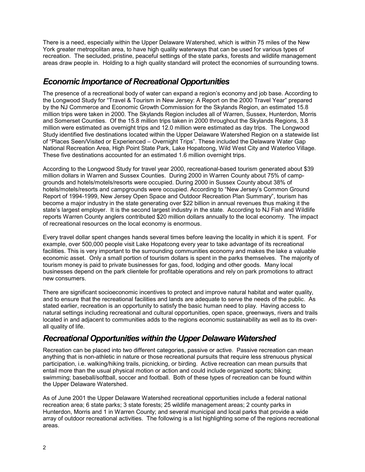<span id="page-7-0"></span>There is a need, especially within the Upper Delaware Watershed, which is within 75 miles of the New York greater metropolitan area, to have high quality waterways that can be used for various types of recreation. The secluded, pristine, peaceful settings of the state parks, forests and wildlife management areas draw people in. Holding to a high quality standard will protect the economies of surrounding towns.

## *Economic Importance of Recreational Opportunities*

The presence of a recreational body of water can expand a region's economy and job base. According to the Longwood Study for "Travel & Tourism in New Jersey: A Report on the 2000 Travel Year" prepared by the NJ Commerce and Economic Growth Commission for the Skylands Region, an estimated 15.8 million trips were taken in 2000. The Skylands Region includes all of Warren, Sussex, Hunterdon, Morris and Somerset Counties. Of the 15.8 million trips taken in 2000 throughout the Skylands Regions, 3.8 million were estimated as overnight trips and 12.0 million were estimated as day trips. The Longwood Study identified five destinations located within the Upper Delaware Watershed Region on a statewide list of "Places Seen/Visited or Experienced – Overnight Trips". These included the Delaware Water Gap National Recreation Area, High Point State Park, Lake Hopatcong, Wild West City and Waterloo Village. These five destinations accounted for an estimated 1.6 million overnight trips.

According to the Longwood Study for travel year 2000, recreational-based tourism generated about \$39 million dollars in Warren and Sussex Counties. During 2000 in Warren County about 75% of campgrounds and hotels/motels/resorts were occupied. During 2000 in Sussex County about 38% of hotels/motels/resorts and campgrounds were occupied. According to "New Jersey's Common Ground Report of 1994-1999, New Jersey Open Space and Outdoor Recreation Plan Summary", tourism has become a major industry in the state generating over \$22 billion in annual revenues thus making it the state's largest employer. It is the second largest industry in the state. According to NJ Fish and Wildlife reports Warren County anglers contributed \$20 million dollars annually to the local economy. The impact of recreational resources on the local economy is enormous.

Every travel dollar spent changes hands several times before leaving the locality in which it is spent. For example, over 500,000 people visit Lake Hopatcong every year to take advantage of its recreational facilities. This is very important to the surrounding communities economy and makes the lake a valuable economic asset. Only a small portion of tourism dollars is spent in the parks themselves. The majority of tourism money is paid to private businesses for gas, food, lodging and other goods. Many local businesses depend on the park clientele for profitable operations and rely on park promotions to attract new consumers.

There are significant socioeconomic incentives to protect and improve natural habitat and water quality, and to ensure that the recreational facilities and lands are adequate to serve the needs of the public. As stated earlier, recreation is an opportunity to satisfy the basic human need to play. Having access to natural settings including recreational and cultural opportunities, open space, greenways, rivers and trails located in and adjacent to communities adds to the regions economic sustainability as well as to its overall quality of life.

## *Recreational Opportunities within the Upper Delaware Watershed*

Recreation can be placed into two different categories, passive or active. Passive recreation can mean anything that is non-athletic in nature or those recreational pursuits that require less strenuous physical participation, i.e. walking/hiking trails, picnicking, or birding. Active recreation can mean pursuits that entail more than the usual physical motion or action and could include organized sports; biking; swimming; baseball/softball, soccer and football. Both of these types of recreation can be found within the Upper Delaware Watershed.

As of June 2001 the Upper Delaware Watershed recreational opportunities include a federal national recreation area; 6 state parks; 3 state forests; 25 wildlife management areas; 2 county parks in Hunterdon, Morris and 1 in Warren County; and several municipal and local parks that provide a wide array of outdoor recreational activities. The following is a list highlighting some of the regions recreational areas.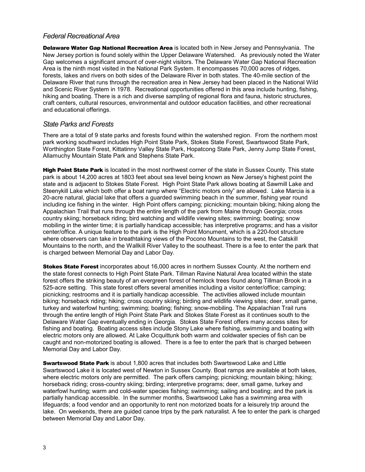#### *Federal Recreational Area*

**Delaware Water Gap National Recreation Area** is located both in New Jersey and Pennsylvania. The New Jersey portion is found solely within the Upper Delaware Watershed. As previously noted the Water Gap welcomes a significant amount of over-night visitors. The Delaware Water Gap National Recreation Area is the ninth most visited in the National Park System. It encompasses 70,000 acres of ridges, forests, lakes and rivers on both sides of the Delaware River in both states. The 40-mile section of the Delaware River that runs through the recreation area in New Jersey had been placed in the National Wild and Scenic River System in 1978. Recreational opportunities offered in this area include hunting, fishing, hiking and boating. There is a rich and diverse sampling of regional flora and fauna, historic structures, craft centers, cultural resources, environmental and outdoor education facilities, and other recreational and educational offerings.

#### *State Parks and Forests*

There are a total of 9 state parks and forests found within the watershed region. From the northern most park working southward includes High Point State Park, Stokes State Forest, Swartswood State Park, Worthington State Forest, Kittatinny Valley State Park, Hopatcong State Park, Jenny Jump State Forest, Allamuchy Mountain State Park and Stephens State Park.

High Point State Park is located in the most northwest corner of the state in Sussex County. This state park is about 14,200 acres at 1803 feet about sea level being known as New Jersey's highest point the state and is adjacent to Stokes State Forest. High Point State Park allows boating at Sawmill Lake and Steenykill Lake which both offer a boat ramp where "Electric motors only" are allowed. Lake Marcia is a 20-acre natural, glacial lake that offers a guarded swimming beach in the summer, fishing year round including ice fishing in the winter. High Point offers camping; picnicking; mountain biking; hiking along the Appalachian Trail that runs through the entire length of the park from Maine through Georgia; cross country skiing; horseback riding; bird watching and wildlife viewing sites; swimming; boating; snow mobiling in the winter time; it is partially handicap accessible; has interpretive programs; and has a visitor center/office. A unique feature to the park is the High Point Monument, which is a 220-foot structure where observers can take in breathtaking views of the Pocono Mountains to the west, the Catskill Mountains to the north, and the Wallkill River Valley to the southeast. There is a fee to enter the park that is charged between Memorial Day and Labor Day.

**Stokes State Forest** incorporates about 16,000 acres in northern Sussex County. At the northern end the state forest connects to High Point State Park. Tillman Ravine Natural Area located within the state forest offers the striking beauty of an evergreen forest of hemlock trees found along Tillman Brook in a 525-acre setting. This state forest offers several amenities including a visitor center/office; camping; picnicking; restrooms and it is partially handicap accessible. The activities allowed include mountain biking; horseback riding; hiking; cross country skiing; birding and wildlife viewing sites; deer, small game, turkey and waterfowl hunting; swimming; boating; fishing; snow-mobiling. The Appalachian Trail runs through the entire length of High Point State Park and Stokes State Forest as it continues south to the Delaware Water Gap eventually ending in Georgia. Stokes State Forest offers many access sites for fishing and boating. Boating access sites include Stony Lake where fishing, swimming and boating with electric motors only are allowed. At Lake Ocquittunk both warm and coldwater species of fish can be caught and non-motorized boating is allowed. There is a fee to enter the park that is charged between Memorial Day and Labor Day.

**Swartswood State Park** is about 1,800 acres that includes both Swartswood Lake and Little Swartswood Lake it is located west of Newton in Sussex County. Boat ramps are available at both lakes, where electric motors only are permitted. The park offers camping; picnicking; mountain biking; hiking; horseback riding; cross-country skiing; birding; interpretive programs; deer, small game, turkey and waterfowl hunting; warm and cold-water species fishing; swimming; sailing and boating; and the park is partially handicap accessible. In the summer months, Swartswood Lake has a swimming area with lifeguards; a food vendor and an opportunity to rent non motorized boats for a leisurely trip around the lake. On weekends, there are guided canoe trips by the park naturalist. A fee to enter the park is charged between Memorial Day and Labor Day.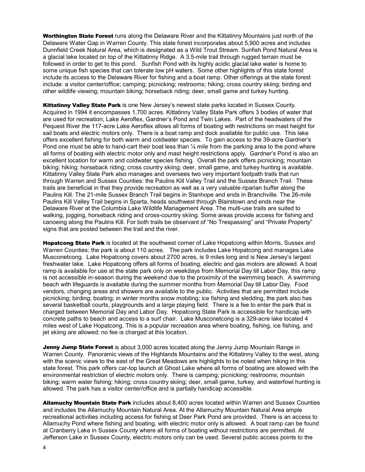Worthington State Forest runs along the Delaware River and the Kittatinny Mountains just north of the Delaware Water Gap in Warren County. This state forest incorporates about 5,900 acres and includes Dunnfield Creek Natural Area, which is designated as a Wild Trout Stream. Sunfish Pond Natural Area is a glacial lake located on top of the Kittatinny Ridge. A 3.5-mile trail through rugged terrain must be followed in order to get to this pond. Sunfish Pond with its highly acidic glacial lake water is home to some unique fish species that can tolerate low pH waters. Some other highlights of this state forest include its access to the Delaware River for fishing and a boat ramp. Other offerings at the state forest include: a visitor center/office; camping; picnicking; restrooms; hiking; cross country skiing; birding and other wildlife viewing; mountain biking; horseback riding; deer, small game and turkey hunting.

Kittatinny Valley State Park is one New Jersey's newest state parks located in Sussex County. Acquired in 1994 it encompasses 1,700 acres. Kittatinny Valley State Park offers 3 bodies of water that are used for recreation; Lake Aeroflex, Gardner's Pond and Twin Lakes. Part of the headwaters of the Pequest River the 117-acre Lake Aeroflex allows all forms of boating with restrictions on mast height for sail boats and electric motors only. There is a boat ramp and dock available for public use. This lake offers excellent fishing for both warm and coldwater species. To gain access to the 39-acre Gardner's Pond one must be able to hand-cart their boat less than  $\frac{1}{4}$  mile from the parking area to the pond where all forms of boating with electric motor only and mast height restrictions apply. Gardner's Pond is also an excellent location for warm and coldwater species fishing. Overall the park offers picnicking; mountain biking; hiking; horseback riding; cross country skiing; deer, small game, and turkey hunting is available. Kittatinny Valley State Park also manages and oversees two very important footpath trails that run through Warren and Sussex Counties: the Paulins Kill Valley Trail and the Sussex Branch Trail. These trails are beneficial in that they provide recreation as well as a very valuable riparian buffer along the Paulins Kill. The 21-mile Sussex Branch Trail begins in Stanhope and ends in Branchville. The 26-mile Paulins Kill Valley Trail begins in Sparta, heads southwest through Blairstown and ends near the Delaware River at the Columbia Lake Wildlife Management Area. The multi-use trails are suited to walking, jogging, horseback riding and cross-country skiing. Some areas provide access for fishing and canoeing along the Paulins Kill. For both trails be observant of "No Trespassing" and "Private Property" signs that are posted between the trail and the river.

Hopatcong State Park is located at the southwest corner of Lake Hopatcong within Morris, Sussex and Warren Counties; the park is about 110 acres. The park includes Lake Hopatcong and manages Lake Musconetcong. Lake Hopatcong covers about 2700 acres, is 9 miles long and is New Jersey's largest freshwater lake. Lake Hopatcong offers all forms of boating, electric and gas motors are allowed. A boat ramp is available for use at the state park only on weekdays from Memorial Day till Labor Day, this ramp is not accessible in-season during the weekend due to the proximity of the swimming beach. A swimming beach with lifeguards is available during the summer months from Memorial Day till Labor Day. Food vendors, changing areas and showers are available to the public. Activities that are permitted include picnicking; birding; boating; in winter months snow mobiling; ice fishing and sledding, the park also has several basketball courts, playgrounds and a large playing field. There is a fee to enter the park that is charged between Memorial Day and Labor Day. Hopatcong State Park is accessible for handicap with concrete paths to beach and access to a surf chair. Lake Musconetcong is a 329-acre lake located 4 miles west of Lake Hopatcong. This is a popular recreation area where boating, fishing, ice fishing, and jet skiing are allowed; no fee is charged at this location.

Jenny Jump State Forest is about 3,000 acres located along the Jenny Jump Mountain Range in Warren County. Panoramic views of the Highlands Mountains and the Kittatinny Valley to the west, along with the scenic views to the east of the Great Meadows are highlights to be noted when hiking in this state forest. This park offers car-top launch at Ghost Lake where all forms of boating are allowed with the environmental restriction of electric motors only. There is camping; picnicking; restrooms; mountain biking; warm water fishing; hiking; cross country skiing; deer, small game, turkey, and waterfowl hunting is allowed. The park has a visitor center/office and is partially handicap accessible.

Allamuchy Mountain State Park includes about 8,400 acres located within Warren and Sussex Counties and includes the Allamuchy Mountain Natural Area. At the Allamuchy Mountain Natural Area ample recreational activities including access for fishing at Deer Park Pond are provided. There is an access to Allamuchy Pond where fishing and boating, with electric motor only is allowed. A boat ramp can be found at Cranberry Lake in Sussex County where all forms of boating without restrictions are permitted. At Jefferson Lake in Sussex County, electric motors only can be used. Several public access points to the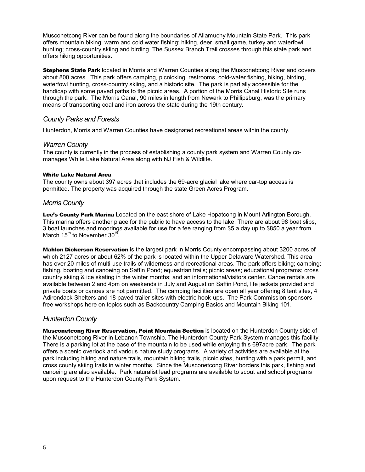Musconetcong River can be found along the boundaries of Allamuchy Mountain State Park. This park offers mountain biking; warm and cold water fishing; hiking, deer, small game, turkey and waterfowl hunting; cross-country skiing and birding. The Sussex Branch Trail crosses through this state park and offers hiking opportunities.

**Stephens State Park** located in Morris and Warren Counties along the Musconetcong River and covers about 800 acres. This park offers camping, picnicking, restrooms, cold-water fishing, hiking, birding, waterfowl hunting, cross-country skiing, and a historic site. The park is partially accessible for the handicap with some paved paths to the picnic areas. A portion of the Morris Canal Historic Site runs through the park. The Morris Canal, 90 miles in length from Newark to Phillipsburg, was the primary means of transporting coal and iron across the state during the 19th century.

#### *County Parks and Forests*

Hunterdon, Morris and Warren Counties have designated recreational areas within the county.

#### *Warren County*

The county is currently in the process of establishing a county park system and Warren County comanages White Lake Natural Area along with NJ Fish & Wildlife.

#### White Lake Natural Area

The county owns about 397 acres that includes the 69-acre glacial lake where car-top access is permitted. The property was acquired through the state Green Acres Program.

#### *Morris County*

Lee's County Park Marina Located on the east shore of Lake Hopatcong in Mount Arlington Borough. This marina offers another place for the public to have access to the lake. There are about 98 boat slips, 3 boat launches and moorings available for use for a fee ranging from \$5 a day up to \$850 a year from March 15<sup>th</sup> to November 30<sup>th</sup>.

Mahlon Dickerson Reservation is the largest park in Morris County encompassing about 3200 acres of which 2127 acres or about 62% of the park is located within the Upper Delaware Watershed. This area has over 20 miles of multi-use trails of wilderness and recreational areas. The park offers biking; camping; fishing, boating and canoeing on Saffin Pond; equestrian trails; picnic areas; educational programs; cross country skiing & ice skating in the winter months; and an informational/visitors center. Canoe rentals are available between 2 and 4pm on weekends in July and August on Saffin Pond, life jackets provided and private boats or canoes are not permitted. The camping facilities are open all year offering 8 tent sites, 4 Adirondack Shelters and 18 paved trailer sites with electric hook-ups. The Park Commission sponsors free workshops here on topics such as Backcountry Camping Basics and Mountain Biking 101.

#### *Hunterdon County*

Musconetcong River Reservation, Point Mountain Section is located on the Hunterdon County side of the Musconetcong River in Lebanon Township. The Hunterdon County Park System manages this facility. There is a parking lot at the base of the mountain to be used while enjoying this 697acre park. The park offers a scenic overlook and various nature study programs. A variety of activities are available at the park including hiking and nature trails, mountain biking trails, picnic sites, hunting with a park permit, and cross county skiing trails in winter months. Since the Musconetcong River borders this park, fishing and canoeing are also available. Park naturalist lead programs are available to scout and school programs upon request to the Hunterdon County Park System.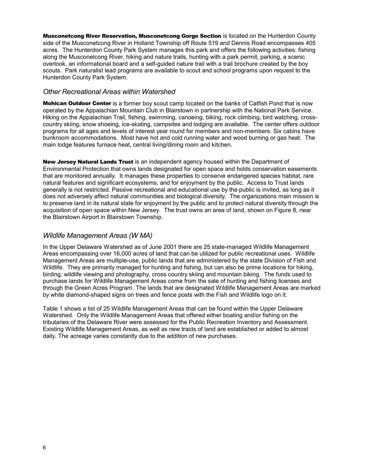Musconetcong River Reservation, Musconetcong Gorge Section is located on the Hunterdon County side of the Musconetcong River in Holland Township off Route 519 and Dennis Road encompasses 405 acres. The Hunterdon County Park System manages this park and offers the following activities: fishing along the Musconetcong River, hiking and nature trails, hunting with a park permit, parking, a scenic overlook, an informational board and a self-guided nature trail with a trail brochure created by the boy scouts. Park naturalist lead programs are available to scout and school programs upon request to the Hunterdon County Park System.

#### *Other Recreational Areas within Watershed*

**Mohican Outdoor Center** is a former boy scout camp located on the banks of Catfish Pond that is now operated by the Appalachian Mountain Club in Blairstown in partnership with the National Park Service. Hiking on the Appalachian Trail, fishing, swimming, canoeing, biking, rock climbing, bird watching, crosscountry skiing, snow shoeing, ice-skating, campsites and lodging are available. The center offers outdoor programs for all ages and levels of interest year round for members and non-members. Six cabins have bunkroom accommodations. Most have hot and cold running water and wood burning or gas heat. The main lodge features furnace heat, central living/dining room and kitchen.

New Jersey Natural Lands Trust is an independent agency housed within the Department of Environmental Protection that owns lands designated for open space and holds conservation easements that are monitored annually. It manages these properties to conserve endangered species habitat, rare natural features and significant ecosystems, and for enjoyment by the public. Access to Trust lands generally is not restricted. Passive recreational and educational use by the public is invited, as long as it does not adversely affect natural communities and biological diversity. The organizations main mission is to preserve land in its natural state for enjoyment by the public and to protect natural diversity through the acquisition of open space within New Jersey. The trust owns an area of land, shown on Figure 8, near the Blairstown Airport in Blairstown Township.

#### *Wildlife Management Areas (W MA)*

In the Upper Delaware Watershed as of June 2001 there are 25 state-managed Wildlife Management Areas encompassing over 16,000 acres of land that can be utilized for public recreational uses. Wildlife Management Areas are multiple-use, public lands that are administered by the state Division of Fish and Wildlife. They are primarily managed for hunting and fishing, but can also be prime locations for hiking. birding, wildlife viewing and photography, cross country skiing and mountain biking. The funds used to purchase lands for Wildlife Management Areas come from the sale of hunting and fishing licenses and through the Green Acres Program. The lands that are designated Wildlife Management Areas are marked by white diamond-shaped signs on trees and fence posts with the Fish and Wildlife logo on it.

Table 1 shows a list of 25 Wildlife Management Areas that can be found within the Upper Delaware Watershed. Only the Wildlife Management Areas that offered either boating and/or fishing on the tributaries of the Delaware River were assessed for the Public Recreation Inventory and Assessment. Existing Wildlife Management Areas, as well as new tracts of land are established or added to almost daily. The acreage varies constantly due to the addition of new purchases.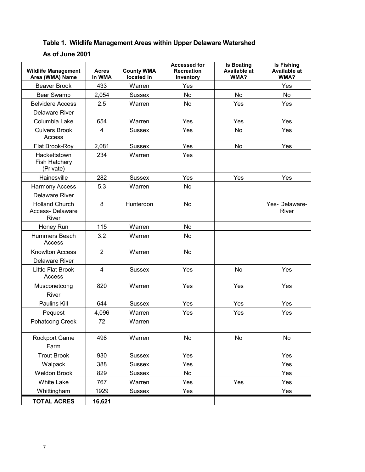## **Table 1. Wildlife Management Areas within Upper Delaware Watershed**

#### **As of June 2001**

| <b>Wildlife Management</b><br>Area (WMA) Name     | <b>Acres</b><br>In WMA | <b>County WMA</b><br>located in | <b>Accessed for</b><br><b>Recreation</b><br>Inventory | <b>Is Boating</b><br><b>Available at</b><br>WMA? | <b>Is Fishing</b><br><b>Available at</b><br>WMA? |
|---------------------------------------------------|------------------------|---------------------------------|-------------------------------------------------------|--------------------------------------------------|--------------------------------------------------|
| <b>Beaver Brook</b>                               | 433                    | Warren                          | Yes                                                   |                                                  | Yes                                              |
| Bear Swamp                                        | 2,054                  | <b>Sussex</b>                   | No                                                    | No                                               | No                                               |
| <b>Belvidere Access</b>                           | 2.5                    | Warren                          | No                                                    | Yes                                              | Yes                                              |
| <b>Delaware River</b>                             |                        |                                 |                                                       |                                                  |                                                  |
| Columbia Lake                                     | 654                    | Warren                          | Yes                                                   | Yes                                              | Yes                                              |
| <b>Culvers Brook</b><br>Access                    | 4                      | <b>Sussex</b>                   | Yes                                                   | No                                               | Yes                                              |
| Flat Brook-Roy                                    | 2,081                  | <b>Sussex</b>                   | Yes                                                   | No                                               | Yes                                              |
| Hackettstown<br><b>Fish Hatchery</b><br>(Private) | 234                    | Warren                          | Yes                                                   |                                                  |                                                  |
| Hainesville                                       | 282                    | <b>Sussex</b>                   | Yes                                                   | Yes                                              | Yes                                              |
| <b>Harmony Access</b><br><b>Delaware River</b>    | 5.3                    | Warren                          | No                                                    |                                                  |                                                  |
| <b>Holland Church</b><br>Access-Delaware<br>River | 8                      | Hunterdon                       | <b>No</b>                                             |                                                  | Yes-Delaware-<br>River                           |
| Honey Run                                         | 115                    | Warren                          | No                                                    |                                                  |                                                  |
| Hummers Beach<br>Access                           | 3.2                    | Warren                          | No                                                    |                                                  |                                                  |
| <b>Knowlton Access</b><br><b>Delaware River</b>   | $\overline{2}$         | Warren                          | No                                                    |                                                  |                                                  |
| Little Flat Brook<br>Access                       | $\overline{4}$         | <b>Sussex</b>                   | Yes                                                   | No                                               | Yes                                              |
| Musconetcong<br>River                             | 820                    | Warren                          | Yes                                                   | Yes                                              | Yes                                              |
| Paulins Kill                                      | 644                    | <b>Sussex</b>                   | Yes                                                   | Yes                                              | Yes                                              |
| Pequest                                           | 4,096                  | Warren                          | Yes                                                   | Yes                                              | Yes                                              |
| Pohatcong Creek                                   | 72                     | Warren                          |                                                       |                                                  |                                                  |
| <b>Rockport Game</b><br>Farm                      | 498                    | Warren                          | No                                                    | No                                               | No                                               |
| <b>Trout Brook</b>                                | 930                    | <b>Sussex</b>                   | Yes                                                   |                                                  | Yes                                              |
| Walpack                                           | 388                    | Sussex                          | Yes                                                   |                                                  | Yes                                              |
| <b>Weldon Brook</b>                               | 829                    | Sussex                          | No                                                    |                                                  | Yes                                              |
| White Lake                                        | 767                    | Warren                          | Yes                                                   | Yes                                              | Yes                                              |
| Whittingham                                       | 1929                   | Sussex                          | Yes                                                   |                                                  | Yes                                              |
| <b>TOTAL ACRES</b>                                | 16,621                 |                                 |                                                       |                                                  |                                                  |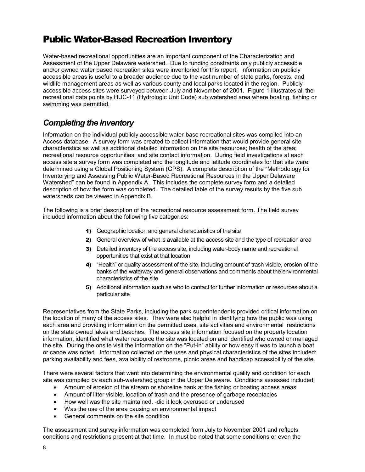## <span id="page-14-0"></span>Public Water-Based Recreation Inventory

Water-based recreational opportunities are an important component of the Characterization and Assessment of the Upper Delaware watershed. Due to funding constraints only publicly accessible and/or owned water based recreation sites were inventoried for this report. Information on publicly accessible areas is useful to a broader audience due to the vast number of state parks, forests, and wildlife management areas as well as various county and local parks located in the region. Publicly accessible access sites were surveyed between July and November of 2001. Figure 1 illustrates all the recreational data points by HUC-11 (Hydrologic Unit Code) sub watershed area where boating, fishing or swimming was permitted.

## *Completing the Inventory*

Information on the individual publicly accessible water-base recreational sites was compiled into an Access database. A survey form was created to collect information that would provide general site characteristics as well as additional detailed information on the site resources; health of the area; recreational resource opportunities; and site contact information. During field investigations at each access site a survey form was completed and the longitude and latitude coordinates for that site were determined using a Global Positioning System (GPS). A complete description of the "Methodology for Inventorying and Assessing Public Water-Based Recreational Resources in the Upper Delaware Watershed" can be found in Appendix A. This includes the complete survey form and a detailed description of how the form was completed. The detailed table of the survey results by the five sub watersheds can be viewed in Appendix B.

The following is a brief description of the recreational resource assessment form. The field survey included information about the following five categories:

- 1) Geographic location and general characteristics of the site
- 2) General overview of what is available at the access site and the type of recreation area
- 3) Detailed inventory of the access site, including water-body name and recreational opportunities that exist at that location
- 4) "Health" or quality assessment of the site, including amount of trash visible, erosion of the banks of the waterway and general observations and comments about the environmental characteristics of the site
- 5) Additional information such as who to contact for further information or resources about a particular site

Representatives from the State Parks, including the park superintendents provided critical information on the location of many of the access sites. They were also helpful in identifying how the public was using each area and providing information on the permitted uses, site activities and environmental restrictions on the state owned lakes and beaches. The access site information focused on the property location information, identified what water resource the site was located on and identified who owned or managed the site. During the onsite visit the information on the "Put-in" ability or how easy it was to launch a boat or canoe was noted. Information collected on the uses and physical characteristics of the sites included: parking availability and fees, availability of restrooms, picnic areas and handicap accessibility of the site.

There were several factors that went into determining the environmental quality and condition for each site was compiled by each sub-watershed group in the Upper Delaware. Conditions assessed included:

- Amount of erosion of the stream or shoreline bank at the fishing or boating access areas
- Amount of litter visible, location of trash and the presence of garbage receptacles
- How well was the site maintained, -did it look overused or underused
- Was the use of the area causing an environmental impact
- General comments on the site condition

The assessment and survey information was completed from July to November 2001 and reflects conditions and restrictions present at that time. In must be noted that some conditions or even the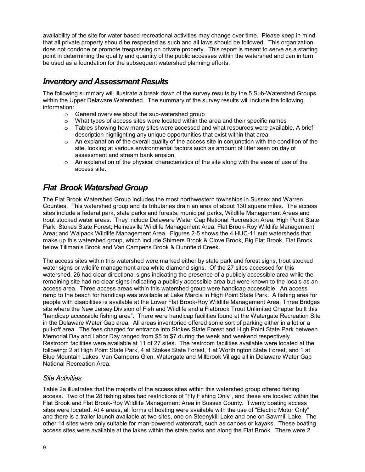<span id="page-15-0"></span>availability of the site for water based recreational activities may change over time. Please keep in mind that all private property should be respected as such and all laws should be followed. This organization does not condone or promote trespassing on private property. This report is meant to serve as a starting point in determining the quality and quantity of the public accesses within the watershed and can in turn be used as a foundation for the subsequent watershed planning efforts.

## *Inventory and Assessment Results*

The following summary will illustrate a break down of the survey results by the 5 Sub-Watershed Groups within the Upper Delaware Watershed. The summary of the survey results will include the following information:

- o General overview about the sub-watershed group
- $\circ$  What types of access sites were located within the area and their specific names
- $\circ$  Tables showing how many sites were accessed and what resources were available. A brief description highlighting any unique opportunities that exist within that area.
- $\circ$  An explanation of the overall quality of the access site in conjunction with the condition of the site, looking at various environmental factors such as amount of litter seen on day of assessment and stream bank erosion.
- o An explanation of the physical characteristics of the site along with the ease of use of the access site.

## *Flat Brook Watershed Group*

The Flat Brook Watershed Group includes the most northwestern townships in Sussex and Warren Counties. This watershed group and its tributaries drain an area of about 130 square miles. The access sites include a federal park, state parks and forests, municipal parks, Wildlife Management Areas and trout stocked water areas. They include Delaware Water Gap National Recreation Area; High Point State Park; Stokes State Forest; Hainesville Wildlife Management Area; Flat Brook-Roy Wildlife Management Area; and Walpack Wildlife Management Area. Figures 2-5 shows the 4 HUC-11 sub watersheds that make up this watershed group, which include Shimers Brook & Clove Brook, Big Flat Brook, Flat Brook below Tillman's Brook and Van Campens Brook & Dunnfield Creek.

The access sites within this watershed were marked either by state park and forest signs, trout stocked water signs or wildlife management area white diamond signs. Of the 27 sites accessed for this watershed, 26 had clear directional signs indicating the presence of a publicly accessible area while the remaining site had no clear signs indicating a publicly accessible area but were known to the locals as an access area. Three access areas within this watershed group were handicap accessible. An access ramp to the beach for handicap was available at Lake Marcia in High Point State Park. A fishing area for people with disabilities is available at the Lower Flat Brook-Roy Wildlife Management Area, Three Bridges site where the New Jersey Division of Fish and Wildlife and a Flatbrook Trout Unlimited Chapter built this "handicap accessible fishing area". There were handicap facilities found at the Watergate Recreation Site in the Delaware Water Gap area. All areas inventoried offered some sort of parking either in a lot or a pull-off area. The fees charged for entrance into Stokes State Forest and High Point State Park between Memorial Day and Labor Day ranged from \$5 to \$7 during the week and weekend respectively. Restroom facilities were available at 11 of 27 sites. The restroom facilities available were located at the following: 2 at High Point State Park, 4 at Stokes State Forest, 1 at Worthington State Forest, and 1 at Blue Mountain Lakes, Van Campens Glen, Watergate and Millbrook Village all in Delaware Water Gap National Recreation Area.

#### *Site Activities*

Table 2a illustrates that the majority of the access sites within this watershed group offered fishing access. Two of the 28 fishing sites had restrictions of "Fly Fishing Only", and these are located within the Flat Brook and Flat Brook-Roy Wildlife Management Area in Sussex County. Twenty boating access sites were located. At 4 areas, all forms of boating were available with the use of "Electric Motor Only" and there is a trailer launch available at two sites, one on Steenykill Lake and one on Sawmill Lake. The other 14 sites were only suitable for man-powered watercraft, such as canoes or kayaks. These boating access sites were available at the lakes within the state parks and along the Flat Brook. There were 2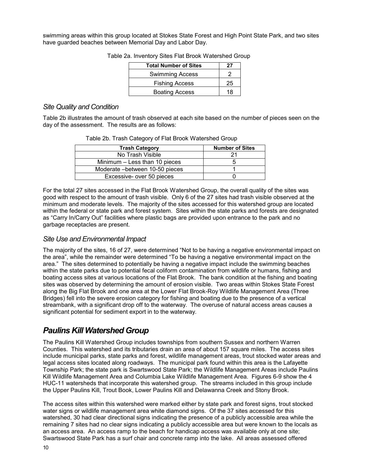<span id="page-16-0"></span>swimming areas within this group located at Stokes State Forest and High Point State Park, and two sites have guarded beaches between Memorial Day and Labor Day.

| <b>Total Number of Sites</b> | 27 |
|------------------------------|----|
| <b>Swimming Access</b>       |    |
| <b>Fishing Access</b>        | 25 |
| <b>Boating Access</b>        | 18 |

Table 2a. Inventory Sites Flat Brook Watershed Group

#### *Site Quality and Condition*

Table 2b illustrates the amount of trash observed at each site based on the number of pieces seen on the day of the assessment. The results are as follows:

| <b>Trash Category</b>           | <b>Number of Sites</b> |
|---------------------------------|------------------------|
| No Trash Visible                | 21                     |
| Minimum – Less than 10 pieces   | n                      |
| Moderate - between 10-50 pieces |                        |
| Excessive- over 50 pieces       |                        |

Table 2b. Trash Category of Flat Brook Watershed Group

For the total 27 sites accessed in the Flat Brook Watershed Group, the overall quality of the sites was good with respect to the amount of trash visible. Only 6 of the 27 sites had trash visible observed at the minimum and moderate levels. The majority of the sites accessed for this watershed group are located within the federal or state park and forest system. Sites within the state parks and forests are designated as "Carry In/Carry Out" facilities where plastic bags are provided upon entrance to the park and no garbage receptacles are present.

#### *Site Use and Environmental Impact*

The majority of the sites, 16 of 27, were determined "Not to be having a negative environmental impact on the area", while the remainder were determined "To be having a negative environmental impact on the area." The sites determined to potentially be having a negative impact include the swimming beaches within the state parks due to potential fecal coliform contamination from wildlife or humans, fishing and boating access sites at various locations of the Flat Brook. The bank condition at the fishing and boating sites was observed by determining the amount of erosion visible. Two areas within Stokes State Forest along the Big Flat Brook and one area at the Lower Flat Brook-Roy Wildlife Management Area (Three Bridges) fell into the severe erosion category for fishing and boating due to the presence of a vertical streambank, with a significant drop off to the waterway. The overuse of natural access areas causes a significant potential for sediment export in to the waterway.

## *Paulins Kill Watershed Group*

The Paulins Kill Watershed Group includes townships from southern Sussex and northern Warren Counties. This watershed and its tributaries drain an area of about 157 square miles. The access sites include municipal parks, state parks and forest, wildlife management areas, trout stocked water areas and legal access sites located along roadways. The municipal park found within this area is the Lafayette Township Park; the state park is Swartswood State Park; the Wildlife Management Areas include Paulins Kill Wildlife Management Area and Columbia Lake Wildlife Management Area. Figures 6-9 show the 4 HUC-11 watersheds that incorporate this watershed group. The streams included in this group include the Upper Paulins Kill, Trout Book, Lower Paulins Kill and Delawanna Creek and Stony Brook.

The access sites within this watershed were marked either by state park and forest signs, trout stocked water signs or wildlife management area white diamond signs. Of the 37 sites accessed for this watershed, 30 had clear directional signs indicating the presence of a publicly accessible area while the remaining 7 sites had no clear signs indicating a publicly accessible area but were known to the locals as an access area. An access ramp to the beach for handicap access was available only at one site; Swartswood State Park has a surf chair and concrete ramp into the lake. All areas assessed offered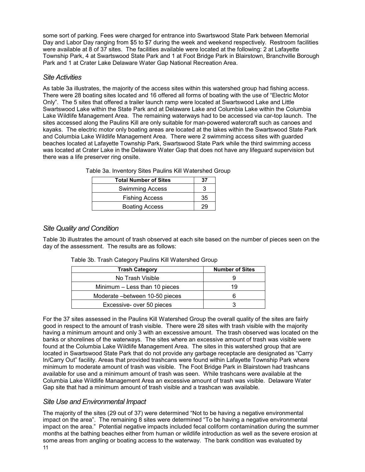some sort of parking. Fees were charged for entrance into Swartswood State Park between Memorial Day and Labor Day ranging from \$5 to \$7 during the week and weekend respectively. Restroom facilities were available at 8 of 37 sites. The facilities available were located at the following: 2 at Lafayette Township Park, 4 at Swartswood State Park and 1 at Foot Bridge Park in Blairstown, Branchville Borough Park and 1 at Crater Lake Delaware Water Gap National Recreation Area.

#### *Site Activities*

As table 3a illustrates, the majority of the access sites within this watershed group had fishing access. There were 28 boating sites located and 16 offered all forms of boating with the use of "Electric Motor Only". The 5 sites that offered a trailer launch ramp were located at Swartswood Lake and Little Swartswood Lake within the State Park and at Delaware Lake and Columbia Lake within the Columbia Lake Wildlife Management Area. The remaining waterways had to be accessed via car-top launch. The sites accessed along the Paulins Kill are only suitable for man-powered watercraft such as canoes and kayaks. The electric motor only boating areas are located at the lakes within the Swartswood State Park and Columbia Lake Wildlife Management Area. There were 2 swimming access sites with guarded beaches located at Lafayette Township Park, Swartswood State Park while the third swimming access was located at Crater Lake in the Delaware Water Gap that does not have any lifeguard supervision but there was a life preserver ring onsite.

| <b>Total Number of Sites</b> | 37 |
|------------------------------|----|
| <b>Swimming Access</b>       |    |
| <b>Fishing Access</b>        | 35 |
| <b>Boating Access</b>        |    |

Table 3a. Inventory Sites Paulins Kill Watershed Group

#### *Site Quality and Condition*

Table 3b illustrates the amount of trash observed at each site based on the number of pieces seen on the day of the assessment. The results are as follows:

| Table 3b. Trash Category Paulins Kill Watershed Group |  |
|-------------------------------------------------------|--|
|-------------------------------------------------------|--|

| <b>Trash Category</b>           | <b>Number of Sites</b> |
|---------------------------------|------------------------|
| No Trash Visible                |                        |
| Minimum – Less than 10 pieces   | 19                     |
| Moderate – between 10-50 pieces |                        |
| Excessive-over 50 pieces        |                        |

For the 37 sites assessed in the Paulins Kill Watershed Group the overall quality of the sites are fairly good in respect to the amount of trash visible. There were 28 sites with trash visible with the majority having a minimum amount and only 3 with an excessive amount. The trash observed was located on the banks or shorelines of the waterways. The sites where an excessive amount of trash was visible were found at the Columbia Lake Wildlife Management Area. The sites in this watershed group that are located in Swartswood State Park that do not provide any garbage receptacle are designated as "Carry In/Carry Out" facility. Areas that provided trashcans were found within Lafayette Township Park where minimum to moderate amount of trash was visible. The Foot Bridge Park in Blairstown had trashcans available for use and a minimum amount of trash was seen. While trashcans were available at the Columbia Lake Wildlife Management Area an excessive amount of trash was visible. Delaware Water Gap site that had a minimum amount of trash visible and a trashcan was available.

#### *Site Use and Environmental Impact*

The majority of the sites (29 out of 37) were determined "Not to be having a negative environmental impact on the area". The remaining 8 sites were determined "To be having a negative environmental impact on the area." Potential negative impacts included fecal coliform contamination during the summer months at the bathing beaches either from human or wildlife introduction as well as the severe erosion at some areas from angling or boating access to the waterway. The bank condition was evaluated by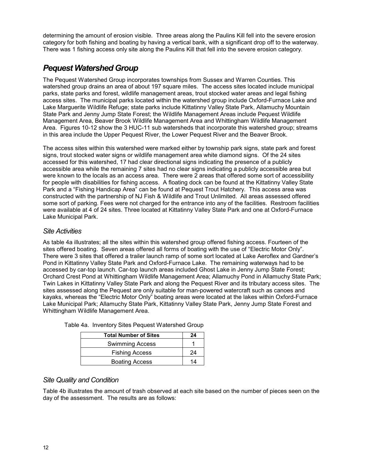<span id="page-18-0"></span>determining the amount of erosion visible. Three areas along the Paulins Kill fell into the severe erosion category for both fishing and boating by having a vertical bank, with a significant drop off to the waterway. There was 1 fishing access only site along the Paulins Kill that fell into the severe erosion category.

## *Pequest Watershed Group*

The Pequest Watershed Group incorporates townships from Sussex and Warren Counties. This watershed group drains an area of about 197 square miles. The access sites located include municipal parks, state parks and forest, wildlife management areas, trout stocked water areas and legal fishing access sites. The municipal parks located within the watershed group include Oxford-Furnace Lake and Lake Marguerite Wildlife Refuge; state parks include Kittatinny Valley State Park, Allamuchy Mountain State Park and Jenny Jump State Forest; the Wildlife Management Areas include Pequest Wildlife Management Area, Beaver Brook Wildlife Management Area and Whittingham Wildlife Management Area. Figures 10-12 show the 3 HUC-11 sub watersheds that incorporate this watershed group; streams in this area include the Upper Pequest River, the Lower Pequest River and the Beaver Brook.

The access sites within this watershed were marked either by township park signs, state park and forest signs, trout stocked water signs or wildlife management area white diamond signs. Of the 24 sites accessed for this watershed, 17 had clear directional signs indicating the presence of a publicly accessible area while the remaining 7 sites had no clear signs indicating a publicly accessible area but were known to the locals as an access area. There were 2 areas that offered some sort of accessibility for people with disabilities for fishing access. A floating dock can be found at the Kittatinny Valley State Park and a "Fishing Handicap Area" can be found at Pequest Trout Hatchery. This access area was constructed with the partnership of NJ Fish & Wildlife and Trout Unlimited. All areas assessed offered some sort of parking. Fees were not charged for the entrance into any of the facilities. Restroom facilities were available at 4 of 24 sites. Three located at Kittatinny Valley State Park and one at Oxford-Furnace Lake Municipal Park.

#### *Site Activities*

As table 4a illustrates; all the sites within this watershed group offered fishing access. Fourteen of the sites offered boating. Seven areas offered all forms of boating with the use of "Electric Motor Only". There were 3 sites that offered a trailer launch ramp of some sort located at Lake Aeroflex and Gardner's Pond in Kittatinny Valley State Park and Oxford-Furnace Lake. The remaining waterways had to be accessed by car-top launch. Car-top launch areas included Ghost Lake in Jenny Jump State Forest; Orchard Crest Pond at Whittingham Wildlife Management Area; Allamuchy Pond in Allamuchy State Park; Twin Lakes in Kittatinny Valley State Park and along the Pequest River and its tributary access sites. The sites assessed along the Pequest are only suitable for man-powered watercraft such as canoes and kayaks, whereas the "Electric Motor Only" boating areas were located at the lakes within Oxford-Furnace Lake Municipal Park; Allamuchy State Park, Kittatinny Valley State Park, Jenny Jump State Forest and Whittingham Wildlife Management Area.

| <b>Total Number of Sites</b> | 24 |
|------------------------------|----|
| <b>Swimming Access</b>       |    |
| <b>Fishing Access</b>        | 24 |
| <b>Boating Access</b>        | 14 |

Table 4a. Inventory Sites Pequest Watershed Group

#### *Site Quality and Condition*

Table 4b illustrates the amount of trash observed at each site based on the number of pieces seen on the day of the assessment. The results are as follows: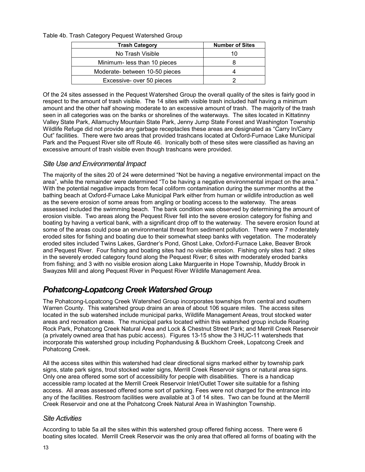<span id="page-19-0"></span>Table 4b. Trash Category Pequest Watershed Group

| <b>Trash Category</b>         | <b>Number of Sites</b> |
|-------------------------------|------------------------|
| No Trash Visible              | 10                     |
| Minimum- less than 10 pieces  |                        |
| Moderate-between 10-50 pieces |                        |
| Excessive- over 50 pieces     |                        |

Of the 24 sites assessed in the Pequest Watershed Group the overall quality of the sites is fairly good in respect to the amount of trash visible. The 14 sites with visible trash included half having a minimum amount and the other half showing moderate to an excessive amount of trash. The majority of the trash seen in all categories was on the banks or shorelines of the waterways. The sites located in Kittatinny Valley State Park, Allamuchy Mountain State Park, Jenny Jump State Forest and Washington Township Wildlife Refuge did not provide any garbage receptacles these areas are designated as "Carry In/Carry" Out" facilities. There were two areas that provided trashcans located at Oxford-Furnace Lake Municipal Park and the Pequest River site off Route 46. Ironically both of these sites were classified as having an excessive amount of trash visible even though trashcans were provided.

#### *Site Use and Environmental Impact*

The majority of the sites 20 of 24 were determined "Not be having a negative environmental impact on the area", while the remainder were determined "To be having a negative environmental impact on the area." With the potential negative impacts from fecal coliform contamination during the summer months at the bathing beach at Oxford-Furnace Lake Municipal Park either from human or wildlife introduction as well as the severe erosion of some areas from angling or boating access to the waterway. The areas assessed included the swimming beach. The bank condition was observed by determining the amount of erosion visible. Two areas along the Pequest River fell into the severe erosion category for fishing and boating by having a vertical bank, with a significant drop off to the waterway. The severe erosion found at some of the areas could pose an environmental threat from sediment pollution. There were 7 moderately eroded sites for fishing and boating due to their somewhat steep banks with vegetation. The moderately eroded sites included Twins Lakes, Gardner's Pond, Ghost Lake, Oxford-Furnace Lake, Beaver Brook and Pequest River. Four fishing and boating sites had no visible erosion. Fishing only sites had: 2 sites in the severely eroded category found along the Pequest River; 6 sites with moderately eroded banks from fishing; and 3 with no visible erosion along Lake Marguerite in Hope Township, Muddy Brook in Swayzes Mill and along Pequest River in Pequest River Wildlife Management Area.

## *Pohatcong-Lopatcong Creek Watershed Group*

The Pohatcong-Lopatcong Creek Watershed Group incorporates townships from central and southern Warren County. This watershed group drains an area of about 106 square miles. The access sites located in the sub watershed include municipal parks, Wildlife Management Areas, trout stocked water areas and recreation areas. The municipal parks located within this watershed group include Roaring Rock Park, Pohatcong Creek Natural Area and Lock & Chestnut Street Park; and Merrill Creek Reservoir (a privately owned area that has pubic access). Figures 13-15 show the 3 HUC-11 watersheds that incorporate this watershed group including Pophandusing & Buckhorn Creek, Lopatcong Creek and Pohatcong Creek.

All the access sites within this watershed had clear directional signs marked either by township park signs, state park signs, trout stocked water signs, Merrill Creek Reservoir signs or natural area signs. Only one area offered some sort of accessibility for people with disabilities. There is a handicap accessible ramp located at the Merrill Creek Reservoir Inlet/Outlet Tower site suitable for a fishing access. All areas assessed offered some sort of parking. Fees were not charged for the entrance into any of the facilities. Restroom facilities were available at 3 of 14 sites. Two can be found at the Merrill Creek Reservoir and one at the Pohatcong Creek Natural Area in Washington Township.

#### *Site Activities*

According to table 5a all the sites within this watershed group offered fishing access. There were 6 boating sites located. Merrill Creek Reservoir was the only area that offered all forms of boating with the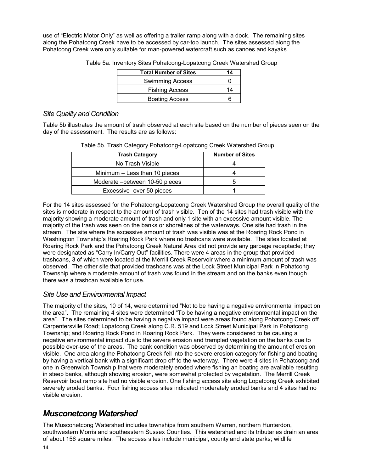<span id="page-20-0"></span>use of "Electric Motor Only" as well as offering a trailer ramp along with a dock. The remaining sites along the Pohatcong Creek have to be accessed by car-top launch. The sites assessed along the Pohatcong Creek were only suitable for man-powered watercraft such as canoes and kayaks.

| <b>Total Number of Sites</b> | 14  |
|------------------------------|-----|
| <b>Swimming Access</b>       |     |
| <b>Fishing Access</b>        | 14  |
| <b>Boating Access</b>        | ี่ค |

Table 5a. Inventory Sites Pohatcong-Lopatcong Creek Watershed Group

#### *Site Quality and Condition*

Table 5b illustrates the amount of trash observed at each site based on the number of pieces seen on the day of the assessment. The results are as follows:

| <b>Trash Category</b>           | <b>Number of Sites</b> |
|---------------------------------|------------------------|
| No Trash Visible                |                        |
| Minimum – Less than 10 pieces   |                        |
| Moderate – between 10-50 pieces |                        |
| Excessive- over 50 pieces       |                        |

Table 5b. Trash Category Pohatcong-Lopatcong Creek Watershed Group

For the 14 sites assessed for the Pohatcong-Lopatcong Creek Watershed Group the overall quality of the sites is moderate in respect to the amount of trash visible. Ten of the 14 sites had trash visible with the majority showing a moderate amount of trash and only 1 site with an excessive amount visible. The majority of the trash was seen on the banks or shorelines of the waterways. One site had trash in the stream. The site where the excessive amount of trash was visible was at the Roaring Rock Pond in Washington Township's Roaring Rock Park where no trashcans were available. The sites located at Roaring Rock Park and the Pohatcong Creek Natural Area did not provide any garbage receptacle; they were designated as "Carry In/Carry Out" facilities. There were 4 areas in the group that provided trashcans, 3 of which were located at the Merrill Creek Reservoir where a minimum amount of trash was observed. The other site that provided trashcans was at the Lock Street Municipal Park in Pohatcong Township where a moderate amount of trash was found in the stream and on the banks even though there was a trashcan available for use.

#### *Site Use and Environmental Impact*

The majority of the sites, 10 of 14, were determined "Not to be having a negative environmental impact on the area". The remaining 4 sites were determined "To be having a negative environmental impact on the area". The sites determined to be having a negative impact were areas found along Pohatcong Creek off Carpentersville Road; Lopatcong Creek along C.R. 519 and Lock Street Municipal Park in Pohatcong Township; and Roaring Rock Pond in Roaring Rock Park. They were considered to be causing a negative environmental impact due to the severe erosion and trampled vegetation on the banks due to possible over-use of the areas. The bank condition was observed by determining the amount of erosion visible. One area along the Pohatcong Creek fell into the severe erosion category for fishing and boating by having a vertical bank with a significant drop off to the waterway. There were 4 sites in Pohatcong and one in Greenwich Township that were moderately eroded where fishing an boating are available resulting in steep banks, although showing erosion, were somewhat protected by vegetation. The Merrill Creek Reservoir boat ramp site had no visible erosion. One fishing access site along Lopatcong Creek exhibited severely eroded banks. Four fishing access sites indicated moderately eroded banks and 4 sites had no visible erosion.

## *Musconetcong Watershed*

The Musconetcong Watershed includes townships from southern Warren, northern Hunterdon, southwestern Morris and southeastern Sussex Counties. This watershed and its tributaries drain an area of about 156 square miles. The access sites include municipal, county and state parks; wildlife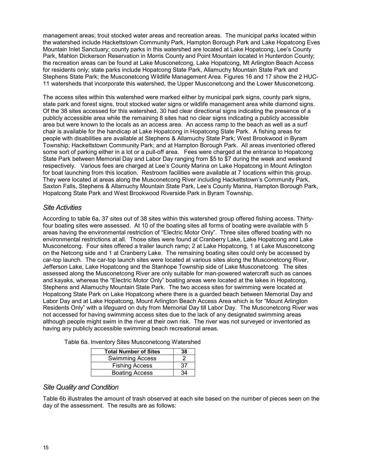management areas; trout stocked water areas and recreation areas. The municipal parks located within the watershed include Hackettstown Community Park, Hampton Borough Park and Lake Hopatcong Eves Mountain Inlet Sanctuary; county parks in this watershed are located at Lake Hopatcong, Lee's County Park, Mahlon Dickerson Reservation in Morris County and Point Mountain located in Hunterdon County; the recreation areas can be found at Lake Musconetcong, Lake Hopatcong, Mt Arlington Beach Access for residents only; state parks include Hopatcong State Park, Allamuchy Mountain State Park and Stephens State Park; the Musconetcong Wildlife Management Area. Figures 16 and 17 show the 2 HUC-11 watersheds that incorporate this watershed, the Upper Musconetcong and the Lower Musconetcong.

The access sites within this watershed were marked either by municipal park signs, county park signs, state park and forest signs, trout stocked water signs or wildlife management area white diamond signs. Of the 38 sites accessed for this watershed, 30 had clear directional signs indicating the presence of a publicly accessible area while the remaining 8 sites had no clear signs indicating a publicly accessible area but were known to the locals as an access area. An access ramp to the beach as well as a surf chair is available for the handicap at Lake Hopatcong in Hopatcong State Park. A fishing areas for people with disabilities are available at Stephens & Allamuchy State Park; West Brookwood in Byram Township; Hackettstown Community Park; and at Hampton Borough Park. All areas inventoried offered some sort of parking either in a lot or a pull-off area. Fees were charged at the entrance to Hopatcong State Park between Memorial Day and Labor Day ranging from \$5 to \$7 during the week and weekend respectively. Various fees are charged at Lee's County Marina on Lake Hopatcong in Mount Arlington for boat launching from this location. Restroom facilities were available at 7 locations within this group. They were located at areas along the Musconetcong River including Hackettstown's Community Park, Saxton Falls, Stephens & Allamuchy Mountain State Park, Lee's County Marina, Hampton Borough Park, Hopatcong State Park and West Brookwood Riverside Park in Byram Township.

#### *Site Activities*

According to table 6a, 37 sites out of 38 sites within this watershed group offered fishing access. Thirtyfour boating sites were assessed. At 10 of the boating sites all forms of boating were available with 5 areas having the environmental restriction of "Electric Motor Only". Three sites offered boating with no environmental restrictions at all. Those sites were found at Cranberry Lake, Lake Hopatcong and Lake Musconetcong. Four sites offered a trailer launch ramp; 2 at Lake Hopatcong, 1 at Lake Musconetcong on the Netcong side and 1 at Cranberry Lake. The remaining boating sites could only be accessed by car-top launch. The car-top launch sites were located at various sites along the Musconetcong River, Jefferson Lake, Lake Hopatcong and the Stanhope Township side of Lake Musconetcong. The sites assessed along the Musconetcong River are only suitable for man-powered watercraft such as canoes and kayaks, whereas the "Electric Motor Only" boating areas were located at the lakes in Hopatcong, Stephens and Allamuchy Mountain State Park. The two access sites for swimming were located at Hopatcong State Park on Lake Hopatcong where there is a guarded beach between Memorial Day and Labor Day and at Lake Hopatcong, Mount Arlington Beach Access Area which is for "Mount Arlington Residents Only" with a lifeguard on duty from Memorial Day till Labor Day. The Musconetcong River was not accessed for having swimming access sites due to the lack of any designated swimming areas although people might swim in the river at their own risk. The river was not surveyed or inventoried as having any publicly accessible swimming beach recreational areas.

| <b>Total Number of Sites</b> | 38 |
|------------------------------|----|
| <b>Swimming Access</b>       |    |
| <b>Fishing Access</b>        | 37 |
| <b>Boating Access</b>        | 34 |

Table 6a. Inventory Sites Musconetcong Watershed

#### *Site Quality and Condition*

Table 6b illustrates the amount of trash observed at each site based on the number of pieces seen on the day of the assessment. The results are as follows: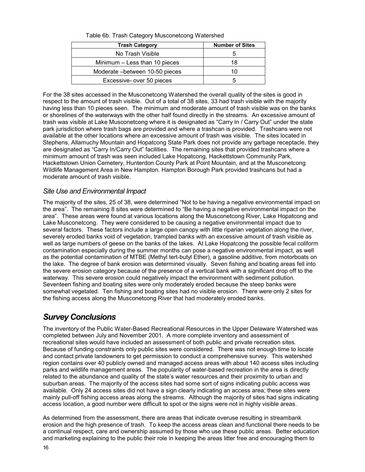<span id="page-22-0"></span>

| <b>Trash Category</b>           | <b>Number of Sites</b> |
|---------------------------------|------------------------|
| No Trash Visible                |                        |
| Minimum - Less than 10 pieces   | 18                     |
| Moderate – between 10-50 pieces | 10                     |
| Excessive- over 50 pieces       |                        |

Table 6b. Trash Category Musconetcong Watershed

For the 38 sites accessed in the Musconetcong Watershed the overall quality of the sites is good in respect to the amount of trash visible. Out of a total of 38 sites, 33 had trash visible with the majority having less than 10 pieces seen. The minimum and moderate amount of trash visible was on the banks or shorelines of the waterways with the other half found directly in the streams. An excessive amount of trash was visible at Lake Musconetcong where it is designated as "Carry In / Carry Out" under the state park jurisdiction where trash bags are provided and where a trashcan is provided. Trashcans were not available at the other locations where an excessive amount of trash was visible. The sites located in Stephens, Allamuchy Mountain and Hopatcong State Park does not provide any garbage receptacle, they are designated as "Carry In/Carry Out" facilities. The remaining sites that provided trashcans where a minimum amount of trash was seen included Lake Hopatcong, Hackettstown Community Park, Hackettstown Union Cemetery, Hunterdon County Park at Point Mountain, and at the Musconetcong Wildlife Management Area in New Hampton. Hampton Borough Park provided trashcans but had a moderate amount of trash visible.

#### *Site Use and Environmental Impact*

The majority of the sites, 25 of 38, were determined "Not to be having a negative environmental impact on the area". The remaining 8 sites were determined to "Be having a negative environmental impact on the area". These areas were found at various locations along the Musconetcong River, Lake Hopatcong and Lake Musconetcong. They were considered to be causing a negative environmental impact due to several factors. These factors include a large open canopy with little riparian vegetation along the river, severely eroded banks void of vegetation, trampled banks with an excessive amount of trash visible as well as large numbers of geese on the banks of the lakes. At Lake Hopatcong the possible fecal coliform contamination especially during the summer months can pose a negative environmental impact, as well as the potential contamination of MTBE (Methyl tert-butyl Ether), a gasoline additive, from motorboats on the lake. The degree of bank erosion was determined visually. Seven fishing and boating areas fell into the severe erosion category because of the presence of a vertical bank with a significant drop off to the waterway. This severe erosion could negatively impact the environment with sediment pollution. Seventeen fishing and boating sites were only moderately eroded because the steep banks were somewhat vegetated. Ten fishing and boating sites had no visible erosion. There were only 2 sites for the fishing access along the Musconetcong River that had moderately eroded banks.

## *Survey Conclusions*

The inventory of the Public Water-Based Recreational Resources in the Upper Delaware Watershed was completed between July and November 2001. A more complete inventory and assessment of recreational sites would have included an assessment of both public and private recreation sites. Because of funding constraints only public sites were considered. There was not enough time to locate and contact private landowners to get permission to conduct a comprehensive survey. This watershed region contains over 40 publicly owned and managed access areas with about 140 access sites including parks and wildlife management areas. The popularity of water-based recreation in the area is directly related to the abundance and quality of the state's water resources and their proximity to urban and suburban areas. The majority of the access sites had some sort of signs indicating public access was available. Only 24 access sites did not have a sign clearly indicating an access area; these sites were mainly pull-off fishing access areas along the streams. Although the majority of sites had signs indicating access location, a good number were difficult to spot or the signs were not in highly visible areas.

As determined from the assessment, there are areas that indicate overuse resulting in streambank erosion and the high presence of trash. To keep the access areas clean and functional there needs to be a continual respect, care and ownership assumed by those who use these public areas. Better education and marketing explaining to the public their role in keeping the areas litter free and encouraging them to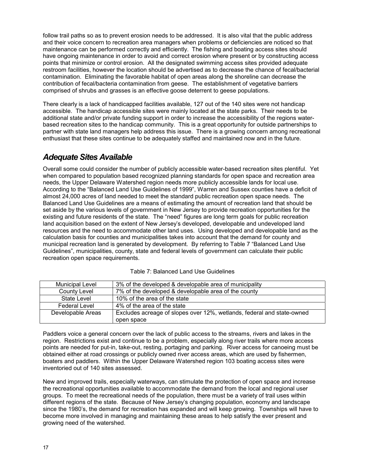<span id="page-23-0"></span>follow trail paths so as to prevent erosion needs to be addressed. It is also vital that the public address and their voice concern to recreation area managers when problems or deficiencies are noticed so that maintenance can be performed correctly and efficiently. The fishing and boating access sites should have ongoing maintenance in order to avoid and correct erosion where present or by constructing access points that minimize or control erosion. All the designated swimming access sites provided adequate restroom facilities, however the location should be advertised as to decrease the chance of fecal/bacterial contamination. Eliminating the favorable habitat of open areas along the shoreline can decrease the contribution of fecal/bacteria contamination from geese. The establishment of vegetative barriers comprised of shrubs and grasses is an effective goose deterrent to geese populations.

There clearly is a lack of handicapped facilities available, 127 out of the 140 sites were not handicap accessible. The handicap accessible sites were mainly located at the state parks. Their needs to be additional state and/or private funding support in order to increase the accessibility of the regions waterbased recreation sites to the handicap community. This is a great opportunity for outside partnerships to partner with state land managers help address this issue. There is a growing concern among recreational enthusiast that these sites continue to be adequately staffed and maintained now and in the future.

## *Adequate Sites Available*

Overall some could consider the number of publicly accessible water-based recreation sites plentiful. Yet when compared to population based recognized planning standards for open space and recreation area needs, the Upper Delaware Watershed region needs more publicly accessible lands for local use. According to the "Balanced Land Use Guidelines of 1999", Warren and Sussex counties have a deficit of almost 24,000 acres of land needed to meet the standard public recreation open space needs. The Balanced Land Use Guidelines are a means of estimating the amount of recreation land that should be set aside by the various levels of government in New Jersey to provide recreation opportunities for the existing and future residents of the state. The "need" figures are long term goals for public recreation land acquisition based on the extent of New Jersey's developed, developable and undeveloped land resources and the need to accommodate other land uses. Using developed and developable land as the calculation basis for counties and municipalities takes into account that the demand for county and municipal recreation land is generated by development. By referring to Table 7 "Balanced Land Use Guidelines", municipalities, county, state and federal levels of government can calculate their public recreation open space requirements.

| Municipal Level      | 3% of the developed & developable area of municipality                 |
|----------------------|------------------------------------------------------------------------|
| County Level         | 7% of the developed & developable area of the county                   |
| State Level          | 10% of the area of the state                                           |
| <b>Federal Level</b> | 4% of the area of the state                                            |
| Developable Areas    | Excludes acreage of slopes over 12%, wetlands, federal and state-owned |
|                      | open space                                                             |

| Table 7: Balanced Land Use Guidelines |
|---------------------------------------|
|---------------------------------------|

Paddlers voice a general concern over the lack of public access to the streams, rivers and lakes in the region. Restrictions exist and continue to be a problem, especially along river trails where more access points are needed for put-in, take-out, resting, portaging and parking. River access for canoeing must be obtained either at road crossings or publicly owned river access areas, which are used by fishermen, boaters and paddlers. Within the Upper Delaware Watershed region 103 boating access sites were inventoried out of 140 sites assessed.

New and improved trails, especially waterways, can stimulate the protection of open space and increase the recreational opportunities available to accommodate the demand from the local and regional user groups. To meet the recreational needs of the population, there must be a variety of trail uses within different regions of the state. Because of New Jersey's changing population, economy and landscape since the 1980's, the demand for recreation has expanded and will keep growing. Townships will have to become more involved in managing and maintaining these areas to help satisfy the ever present and growing need of the watershed.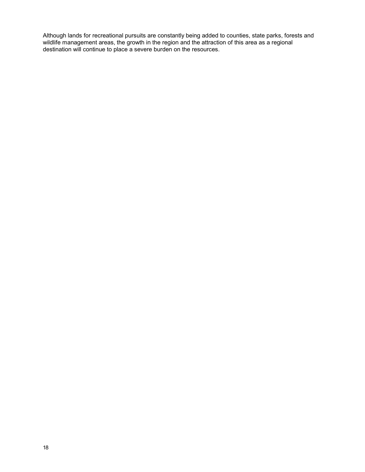Although lands for recreational pursuits are constantly being added to counties, state parks, forests and wildlife management areas, the growth in the region and the attraction of this area as a regional destination will continue to place a severe burden on the resources.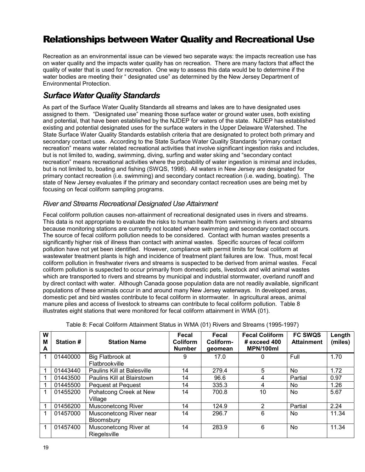## <span id="page-26-0"></span>**Relationships between Water Quality and Recreational Use**

Recreation as an environmental issue can be viewed two separate ways: the impacts recreation use has on water quality and the impacts water quality has on recreation. There are many factors that affect the quality of water that is used for recreation. One way to assess this data would be to determine if the water bodies are meeting their " designated use" as determined by the New Jersey Department of Environmental Protection.

## *Surface Water Quality Standards*

As part of the Surface Water Quality Standards all streams and lakes are to have designated uses assigned to them. "Designated use" meaning those surface water or ground water uses, both existing and potential, that have been established by the NJDEP for waters of the state. NJDEP has established existing and potential designated uses for the surface waters in the Upper Delaware Watershed. The State Surface Water Quality Standards establish criteria that are designated to protect both primary and secondary contact uses. According to the State Surface Water Quality Standards "primary contact recreation" means water related recreational activities that involve significant ingestion risks and includes, but is not limited to, wading, swimming, diving, surfing and water skiing and "secondary contact recreation" means recreational activities where the probability of water ingestion is minimal and includes, but is not limited to, boating and fishing (SWQS, 1998). All waters in New Jersey are designated for primary contact recreation (i.e. swimming) and secondary contact recreation (i.e. wading, boating). The state of New Jersey evaluates if the primary and secondary contact recreation uses are being met by focusing on fecal coliform sampling programs.

#### *River and Streams Recreational Designated Use Attainment*

Fecal coliform pollution causes non-attainment of recreational designated uses in rivers and streams. This data is not appropriate to evaluate the risks to human health from swimming in rivers and streams because monitoring stations are currently not located where swimming and secondary contact occurs. The source of fecal coliform pollution needs to be considered. Contact with human wastes presents a significantly higher risk of illness than contact with animal wastes. Specific sources of fecal coliform pollution have not yet been identified. However, compliance with permit limits for fecal coliform at wastewater treatment plants is high and incidence of treatment plant failures are low. Thus, most fecal coliform pollution in freshwater rivers and streams is suspected to be derived from animal wastes. Fecal coliform pollution is suspected to occur primarily from domestic pets, livestock and wild animal wastes which are transported to rivers and streams by municipal and industrial stormwater, overland runoff and by direct contact with water. Although Canada goose population data are not readily available, significant populations of these animals occur in and around many New Jersey waterways. In developed areas, domestic pet and bird wastes contribute to fecal coliform in stormwater. In agricultural areas, animal manure piles and access of livestock to streams can contribute to fecal coliform pollution. Table 8 illustrates eight stations that were monitored for fecal coliform attainment in WMA (01).

| W<br>M<br>A | <b>Station#</b> | <b>Station Name</b>                   | Fecal<br><b>Coliform</b><br><b>Number</b> | Fecal<br>Coliform-<br>geomean | <b>Fecal Coliform</b><br>$#$ exceed 400<br>MPN/100ml | <b>FC SWQS</b><br><b>Attainment</b> | Length<br>(miles) |
|-------------|-----------------|---------------------------------------|-------------------------------------------|-------------------------------|------------------------------------------------------|-------------------------------------|-------------------|
|             | 01440000        | Big Flatbrook at                      | 9                                         | 17.0                          | 0                                                    | Full                                | 1.70              |
|             |                 | Flatbrookville                        |                                           |                               |                                                      |                                     |                   |
|             | 01443440        | <b>Paulins Kill at Balesville</b>     | 14                                        | 279.4                         | 5                                                    | No.                                 | 1.72              |
|             | 01443500        | Paulins Kill at Blairstown            | 14                                        | 96.6                          | 4                                                    | Partial                             | 0.97              |
|             | 01445500        | <b>Pequest at Pequest</b>             | 14                                        | 335.3                         | 4                                                    | No.                                 | 1.26              |
| 1           | 01455200        | Pohatcong Creek at New<br>Village     | 14                                        | 700.8                         | 10                                                   | N <sub>0</sub>                      | 5.67              |
|             | 01456200        | <b>Musconetcong River</b>             | 14                                        | 124.9                         | 2                                                    | Partial                             | 2.24              |
|             | 01457000        | Musconetcong River near<br>Bloomsbury | 14                                        | 296.7                         | 6                                                    | No.                                 | 11.34             |
|             | 01457400        | Musconetcong River at<br>Riegelsville | 14                                        | 283.9                         | 6                                                    | No                                  | 11.34             |

Table 8: Fecal Coliform Attainment Status in WMA (01) Rivers and Streams (1995-1997)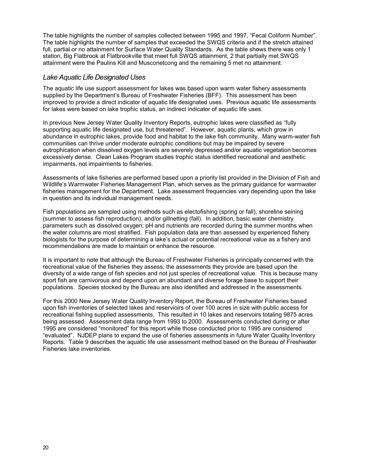The table highlights the number of samples collected between 1995 and 1997, "Fecal Coliform Number". The table highlights the number of samples that exceeded the SWQS criteria and if the stretch attained full, partial or no attainment for Surface Water Quality Standards. As the table shows there was only 1 station, Big Flatbrook at Flatbrookville that meet full SWQS attainment, 2 that partially met SWQS attainment were the Paulins Kill and Musconetcong and the remaining 5 met no attainment.

#### *Lake Aquatic Life Designated Uses*

The aquatic life use support assessment for lakes was based upon warm water fishery assessments supplied by the Department's Bureau of Freshwater Fisheries (BFF). This assessment has been improved to provide a direct indicator of aquatic life designated uses. Previous aquatic life assessments for lakes were based on lake trophic status, an indirect indicator of aquatic life uses.

In previous New Jersey Water Quality Inventory Reports, eutrophic lakes were classified as "fully supporting aquatic life designated use, but threatened". However, aquatic plants, which grow in abundance in eutrophic lakes, provide food and habitat to the lake fish community. Many warm-water fish communities can thrive under moderate eutrophic conditions but may be impaired by severe eutrophication when dissolved oxygen levels are severely depressed and/or aquatic vegetation becomes excessively dense. Clean Lakes Program studies trophic status identified recreational and aesthetic impairments, not impairments to fisheries.

Assessments of lake fisheries are performed based upon a priority list provided in the Division of Fish and Wildlife's Warmwater Fisheries Management Plan, which serves as the primary guidance for warmwater fisheries management for the Department. Lake assessment frequencies vary depending upon the lake in question and its individual management needs.

Fish populations are sampled using methods such as electofishing (spring or fall), shoreline seining (summer to assess fish reproduction), and/or gillnetting (fall). In addition, basic water chemistry parameters such as dissolved oxygen; pH and nutrients are recorded during the summer months when the water columns are most stratified. Fish population data are than assessed by experienced fishery biologists for the purpose of determining a lake's actual or potential recreational value as a fishery and recommendations are made to maintain or enhance the resource.

It is important to note that although the Bureau of Freshwater Fisheries is principally concerned with the recreational value of the fisheries they assess, the assessments they provide are based upon the diversity of a wide range of fish species and not just species of recreational value. This is because many sport fish are carnivorous and depend upon an abundant and diverse forage base to support their populations. Species stocked by the Bureau are also identified and addressed in the assessments.

For this 2000 New Jersey Water Quality Inventory Report, the Bureau of Freshwater Fisheries based upon fish inventories of selected lakes and reservioirs of over 100 acres in size with public access for recreational fishing supplied assessments. This resulted in 10 lakes and reservoirs totaling 9875 acres being assessed. Assessment data range from 1993 to 2000. Assessments conducted during or after 1995 are considered "monitored" for this report while those conducted prior to 1995 are considered "evaluated". NJDEP plans to expand the use of fisheries assessments in future Water Quality Inventory Reports. Table 9 describes the aquatic life use assessment method based on the Bureau of Freshwater Fisheries lake inventories.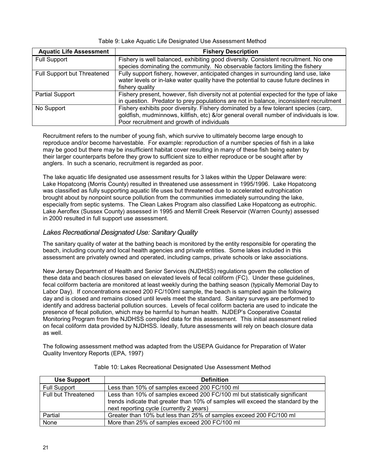| <b>Aquatic Life Assessment</b> | <b>Fishery Description</b>                                                              |
|--------------------------------|-----------------------------------------------------------------------------------------|
| <b>Full Support</b>            | Fishery is well balanced, exhibiting good diversity. Consistent recruitment. No one     |
|                                | species dominating the community. No observable factors limiting the fishery            |
| Full Support but Threatened    | Fully support fishery, however, anticipated changes in surrounding land use, lake       |
|                                | water levels or in-lake water quality have the potential to cause future declines in    |
|                                | fishery quality                                                                         |
| Partial Support                | Fishery present, however, fish diversity not at potential expected for the type of lake |
|                                | in question. Predator to prey populations are not in balance, inconsistent recruitment  |
| No Support                     | Fishery exhibits poor diversity. Fishery dominated by a few tolerant species (carp,     |
|                                | goldfish, mudminnows, killfish, etc) &/or general overall number of individuals is low. |
|                                | Poor recruitment and growth of individuals                                              |

#### Table 9: Lake Aquatic Life Designated Use Assessment Method

Recruitment refers to the number of young fish, which survive to ultimately become large enough to reproduce and/or become harvestable. For example: reproduction of a number species of fish in a lake may be good but there may be insufficient habitat cover resulting in many of these fish being eaten by their larger counterparts before they grow to sufficient size to either reproduce or be sought after by anglers. In such a scenario, recruitment is regarded as poor.

The lake aquatic life designated use assessment results for 3 lakes within the Upper Delaware were: Lake Hopatcong (Morris County) resulted in threatened use assessment in 1995/1996. Lake Hopatcong was classified as fully supporting aquatic life uses but threatened due to accelerated eutrophication brought about by nonpoint source pollution from the communities immediately surrounding the lake, especially from septic systems. The Clean Lakes Program also classified Lake Hopatcong as eutrophic. Lake Aeroflex (Sussex County) assessed in 1995 and Merrill Creek Reservoir (Warren County) assessed in 2000 resulted in full support use assessment.

#### *Lakes Recreational Designated Use: Sanitary Quality*

The sanitary quality of water at the bathing beach is monitored by the entity responsible for operating the beach, including county and local health agencies and private entities. Some lakes included in this assessment are privately owned and operated, including camps, private schools or lake associations.

New Jersey Department of Health and Senior Services (NJDHSS) regulations govern the collection of these data and beach closures based on elevated levels of fecal coliform (FC). Under these guidelines, fecal coliform bacteria are monitored at least weekly during the bathing season (typically Memorial Day to Labor Day). If concentrations exceed 200 FC/100ml sample, the beach is sampled again the following day and is closed and remains closed until levels meet the standard. Sanitary surveys are performed to identify and address bacterial pollution sources. Levels of fecal coliform bacteria are used to indicate the presence of fecal pollution, which may be harmful to human health. NJDEP's Cooperative Coastal Monitoring Program from the NJDHSS compiled data for this assessment. This initial assessment relied on fecal coliform data provided by NJDHSS. Ideally, future assessments will rely on beach closure data as well.

The following assessment method was adapted from the USEPA Guidance for Preparation of Water Quality Inventory Reports (EPA, 1997)

| <b>Use Support</b>  | <b>Definition</b>                                                                                                                                                                                           |
|---------------------|-------------------------------------------------------------------------------------------------------------------------------------------------------------------------------------------------------------|
| <b>Full Support</b> | Less than 10% of samples exceed 200 FC/100 ml                                                                                                                                                               |
| Full but Threatened | Less than 10% of samples exceed 200 FC/100 ml but statistically significant<br>trends indicate that greater than 10% of samples will exceed the standard by the<br>next reporting cycle (currently 2 years) |
| Partial             | Greater than 10% but less than 25% of samples exceed 200 FC/100 ml                                                                                                                                          |
| None                | More than 25% of samples exceed 200 FC/100 ml                                                                                                                                                               |

Table 10: Lakes Recreational Designated Use Assessment Method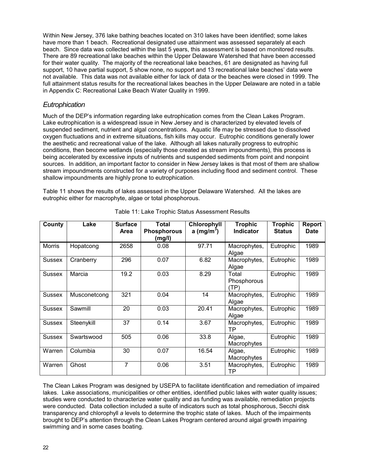Within New Jersey, 376 lake bathing beaches located on 310 lakes have been identified; some lakes have more than 1 beach. Recreational designated use attainment was assessed separately at each beach. Since data was collected within the last 5 years, this assessment is based on monitored results. There are 89 recreational lake beaches within the Upper Delaware Watershed that have been accessed for their water quality. The majority of the recreational lake beaches, 61 are designated as having full support, 10 have partial support, 5 show none, no support and 13 recreational lake beaches' data were not available. This data was not available either for lack of data or the beaches were closed in 1999. The full attainment status results for the recreational lakes beaches in the Upper Delaware are noted in a table in Appendix C: Recreational Lake Beach Water Quality in 1999.

#### *Eutrophication*

Much of the DEP's information regarding lake eutrophication comes from the Clean Lakes Program. Lake eutrophication is a widespread issue in New Jersey and is characterized by elevated levels of suspended sediment, nutrient and algal concentrations. Aquatic life may be stressed due to dissolved oxygen fluctuations and in extreme situations, fish kills may occur. Eutrophic conditions generally lower the aesthetic and recreational value of the lake. Although all lakes naturally progress to eutrophic conditions, then become wetlands (especially those created as stream impoundments), this process is being accelerated by excessive inputs of nutrients and suspended sediments from point and nonpoint sources. In addition, an important factor to consider in New Jersey lakes is that most of them are shallow stream impoundments constructed for a variety of purposes including flood and sediment control. These shallow impoundments are highly prone to eutrophication.

Table 11 shows the results of lakes assessed in the Upper Delaware Watershed. All the lakes are eutrophic either for macrophyte, algae or total phosphorous.

| County        | Lake         | <b>Surface</b><br><b>Area</b> | <b>Total</b><br><b>Phosphorous</b> | Chlorophyll<br>a (mg/m <sup>3</sup> ) | <b>Trophic</b><br>Indicator  | <b>Trophic</b><br><b>Status</b> | <b>Report</b><br><b>Date</b> |
|---------------|--------------|-------------------------------|------------------------------------|---------------------------------------|------------------------------|---------------------------------|------------------------------|
|               |              |                               | (mg/l)                             |                                       |                              |                                 |                              |
| <b>Morris</b> | Hopatcong    | 2658                          | 0.08                               | 97.71                                 | Macrophytes,<br>Algae        | Eutrophic                       | 1989                         |
| Sussex        | Cranberry    | 296                           | 0.07                               | 6.82                                  | Macrophytes,<br>Algae        | Eutrophic                       | 1989                         |
| <b>Sussex</b> | Marcia       | 19.2                          | 0.03                               | 8.29                                  | Total<br>Phosphorous<br>(TP) | Eutrophic                       | 1989                         |
| <b>Sussex</b> | Musconetcong | 321                           | 0.04                               | 14                                    | Macrophytes,<br>Algae        | Eutrophic                       | 1989                         |
| <b>Sussex</b> | Sawmill      | 20                            | 0.03                               | 20.41                                 | Macrophytes,<br>Algae        | Eutrophic                       | 1989                         |
| <b>Sussex</b> | Steenykill   | 37                            | 0.14                               | 3.67                                  | Macrophytes,<br>ТP           | Eutrophic                       | 1989                         |
| <b>Sussex</b> | Swartswood   | 505                           | 0.06                               | 33.8                                  | Algae,<br>Macrophytes        | Eutrophic                       | 1989                         |
| Warren        | Columbia     | 30                            | 0.07                               | 16.54                                 | Algae,<br>Macrophytes        | Eutrophic                       | 1989                         |
| Warren        | Ghost        | 7                             | 0.06                               | 3.51                                  | Macrophytes,<br>TP           | Eutrophic                       | 1989                         |

Table 11: Lake Trophic Status Assessment Results

The Clean Lakes Program was designed by USEPA to facilitate identification and remediation of impaired lakes. Lake associations, municipalities or other entities, identified public lakes with water quality issues; studies were conducted to characterize water quality and as funding was available, remediation projects were conducted. Data collection included a suite of indicators such as total phosphorous, Secchi disk transparency and chlorophyll *a* levels to determine the trophic state of lakes. Much of the impairments brought to DEP's attention through the Clean Lakes Program centered around algal growth impairing swimming and in some cases boating.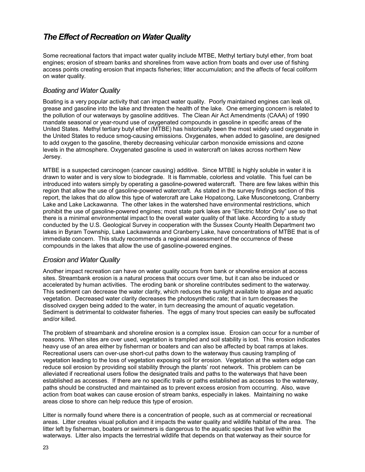## <span id="page-30-0"></span>*The Effect of Recreation on Water Quality*

Some recreational factors that impact water quality include MTBE, Methyl tertiary butyl ether, from boat engines; erosion of stream banks and shorelines from wave action from boats and over use of fishing access points creating erosion that impacts fisheries; litter accumulation; and the affects of fecal coliform on water quality.

#### *Boating and Water Quality*

Boating is a very popular activity that can impact water quality. Poorly maintained engines can leak oil, grease and gasoline into the lake and threaten the health of the lake. One emerging concern is related to the pollution of our waterways by gasoline additives. The Clean Air Act Amendments (CAAA) of 1990 mandate seasonal or year-round use of oxygenated compounds in gasoline in specific areas of the United States. Methyl tertiary butyl ether (MTBE) has historically been the most widely used oxygenate in the United States to reduce smog-causing emissions. Oxygenates, when added to gasoline, are designed to add oxygen to the gasoline, thereby decreasing vehicular carbon monoxide emissions and ozone levels in the atmosphere. Oxygenated gasoline is used in watercraft on lakes across northern New Jersey.

MTBE is a suspected carcinogen (cancer causing) additive. Since MTBE is highly soluble in water it is drawn to water and is very slow to biodegrade. It is flammable, colorless and volatile. This fuel can be introduced into waters simply by operating a gasoline-powered watercraft. There are few lakes within this region that allow the use of gasoline-powered watercraft. As stated in the survey findings section of this report, the lakes that do allow this type of watercraft are Lake Hopatcong, Lake Musconetcong, Cranberry Lake and Lake Lackawanna. The other lakes in the watershed have environmental restrictions, which prohibit the use of gasoline-powered engines; most state park lakes are "Electric Motor Only" use so that there is a minimal environmental impact to the overall water quality of that lake. According to a study conducted by the U.S. Geological Survey in cooperation with the Sussex County Health Department two lakes in Byram Township, Lake Lackawanna and Cranberry Lake, have concentrations of MTBE that is of immediate concern. This study recommends a regional assessment of the occurrence of these compounds in the lakes that allow the use of gasoline-powered engines.

#### *Erosion and Water Quality*

Another impact recreation can have on water quality occurs from bank or shoreline erosion at access sites. Streambank erosion is a natural process that occurs over time, but it can also be induced or accelerated by human activities. The eroding bank or shoreline contributes sediment to the waterway. This sediment can decrease the water clarity, which reduces the sunlight available to algae and aquatic vegetation. Decreased water clarity decreases the photosynthetic rate; that in turn decreases the dissolved oxygen being added to the water, in turn decreasing the amount of aquatic vegetation. Sediment is detrimental to coldwater fisheries. The eggs of many trout species can easily be suffocated and/or killed.

The problem of streambank and shoreline erosion is a complex issue. Erosion can occur for a number of reasons. When sites are over used, vegetation is trampled and soil stability is lost. This erosion indicates heavy use of an area either by fisherman or boaters and can also be affected by boat ramps at lakes. Recreational users can over-use short-cut paths down to the waterway thus causing trampling of vegetation leading to the loss of vegetation exposing soil for erosion. Vegetation at the waters edge can reduce soil erosion by providing soil stability through the plants' root network. This problem can be alleviated if recreational users follow the designated trails and paths to the waterways that have been established as accesses. If there are no specific trails or paths established as accesses to the waterway, paths should be constructed and maintained as to prevent excess erosion from occurring. Also, wave action from boat wakes can cause erosion of stream banks, especially in lakes. Maintaining no wake areas close to shore can help reduce this type of erosion.

Litter is normally found where there is a concentration of people, such as at commercial or recreational areas. Litter creates visual pollution and it impacts the water quality and wildlife habitat of the area. The litter left by fisherman, boaters or swimmers is dangerous to the aquatic species that live within the waterways. Litter also impacts the terrestrial wildlife that depends on that waterway as their source for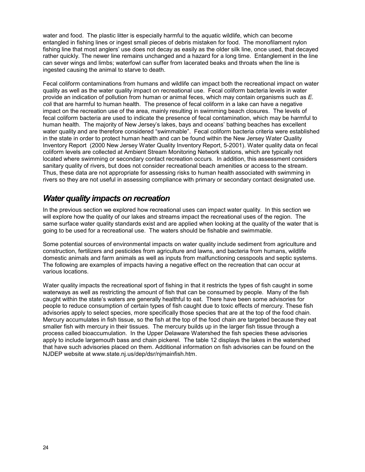<span id="page-31-0"></span>water and food. The plastic litter is especially harmful to the aquatic wildlife, which can become entangled in fishing lines or ingest small pieces of debris mistaken for food. The monofilament nylon fishing line that most anglers' use does not decay as easily as the older silk line, once used, that decayed rather quickly. The newer line remains unchanged and a hazard for a long time. Entanglement in the line can sever wings and limbs; waterfowl can suffer from lacerated beaks and throats when the line is ingested causing the animal to starve to death.

Fecal coliform contaminations from humans and wildlife can impact both the recreational impact on water quality as well as the water quality impact on recreational use. Fecal coliform bacteria levels in water provide an indication of pollution from human or animal feces, which may contain organisms such as *E. coli* that are harmful to human health. The presence of fecal coliform in a lake can have a negative impact on the recreation use of the area, mainly resulting in swimming beach closures. The levels of fecal coliform bacteria are used to indicate the presence of fecal contamination, which may be harmful to human health. The majority of New Jersey's lakes, bays and oceans' bathing beaches has excellent water quality and are therefore considered "swimmable". Fecal coliform bacteria criteria were established in the state in order to protect human health and can be found within the New Jersey Water Quality Inventory Report (2000 New Jersey Water Quality Inventory Report, 5-2001). Water quality data on fecal coliform levels are collected at Ambient Stream Monitoring Network stations, which are typically not located where swimming or secondary contact recreation occurs. In addition, this assessment considers sanitary quality of rivers, but does not consider recreational beach amenities or access to the stream. Thus, these data are not appropriate for assessing risks to human health associated with swimming in rivers so they are not useful in assessing compliance with primary or secondary contact designated use.

### *Water quality impacts on recreation*

In the previous section we explored how recreational uses can impact water quality. In this section we will explore how the quality of our lakes and streams impact the recreational uses of the region. The same surface water quality standards exist and are applied when looking at the quality of the water that is going to be used for a recreational use. The waters should be fishable and swimmable.

Some potential sources of environmental impacts on water quality include sediment from agriculture and construction, fertilizers and pesticides from agriculture and lawns, and bacteria from humans, wildlife domestic animals and farm animals as well as inputs from malfunctioning cesspools and septic systems. The following are examples of impacts having a negative effect on the recreation that can occur at various locations.

Water quality impacts the recreational sport of fishing in that it restricts the types of fish caught in some waterways as well as restricting the amount of fish that can be consumed by people. Many of the fish caught within the state's waters are generally healthful to eat. There have been some advisories for people to reduce consumption of certain types of fish caught due to toxic effects of mercury. These fish advisories apply to select species, more specifically those species that are at the top of the food chain. Mercury accumulates in fish tissue, so the fish at the top of the food chain are targeted because they eat smaller fish with mercury in their tissues. The mercury builds up in the larger fish tissue through a process called bioaccumulation. In the Upper Delaware Watershed the fish species these advisories apply to include largemouth bass and chain pickerel. The table 12 displays the lakes in the watershed that have such advisories placed on them. Additional information on fish advisories can be found on the NJDEP website at www.state.nj.us/dep/dsr/njmainfish.htm.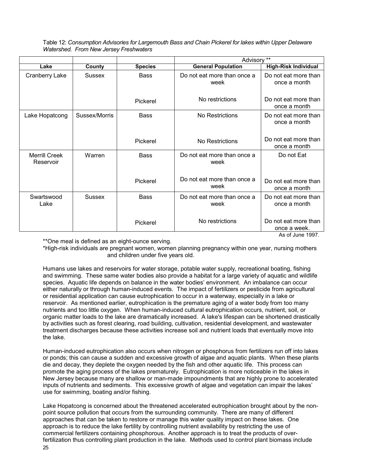Table 12: *Consumption Advisories for Largemouth Bass and Chain Pickerel for lakes within Upper Delaware Watershed. From New Jersey Freshwaters* 

|                                   |               |                | Advisory **                         |                                                          |  |  |
|-----------------------------------|---------------|----------------|-------------------------------------|----------------------------------------------------------|--|--|
| Lake                              | County        | <b>Species</b> | <b>General Population</b>           | <b>High-Risk Individual</b>                              |  |  |
| <b>Cranberry Lake</b>             | Sussex        | <b>Bass</b>    | Do not eat more than once a<br>week |                                                          |  |  |
|                                   |               | Pickerel       | No restrictions                     | Do not eat more than<br>once a month                     |  |  |
| Lake Hopatcong                    | Sussex/Morris | <b>Bass</b>    | No Restrictions                     | Do not eat more than<br>once a month                     |  |  |
|                                   |               | Pickerel       | No Restrictions                     | Do not eat more than<br>once a month                     |  |  |
| <b>Merrill Creek</b><br>Reservoir | Warren        | <b>Bass</b>    | Do not eat more than once a<br>week | Do not Eat                                               |  |  |
|                                   |               | Pickerel       | Do not eat more than once a<br>week | Do not eat more than<br>once a month                     |  |  |
| Swartswood<br>Lake                | <b>Sussex</b> | <b>Bass</b>    | Do not eat more than once a<br>week | Do not eat more than<br>once a month                     |  |  |
|                                   |               | Pickerel       | No restrictions                     | Do not eat more than<br>once a week.<br>As of June 1997. |  |  |

\*\*One meal is defined as an eight-ounce serving.

\*High-risk individuals are pregnant women, women planning pregnancy within one year, nursing mothers and children under five years old.

Humans use lakes and reservoirs for water storage, potable water supply, recreational boating, fishing and swimming. These same water bodies also provide a habitat for a large variety of aquatic and wildlife species. Aquatic life depends on balance in the water bodies' environment. An imbalance can occur either naturally or through human-induced events. The impact of fertilizers or pesticide from agricultural or residential application can cause eutrophication to occur in a waterway, especially in a lake or reservoir. As mentioned earlier, eutrophication is the premature aging of a water body from too many nutrients and too little oxygen. When human-induced cultural eutrophication occurs, nutrient, soil, or organic matter loads to the lake are dramatically increased. A lake's lifespan can be shortened drastically by activities such as forest clearing, road building, cultivation, residential development, and wastewater treatment discharges because these activities increase soil and nutrient loads that eventually move into the lake.

Human-induced eutrophication also occurs when nitrogen or phosphorus from fertilizers run off into lakes or ponds; this can cause a sudden and excessive growth of algae and aquatic plants. When these plants die and decay, they deplete the oxygen needed by the fish and other aquatic life. This process can promote the aging process of the lakes prematurely. Eutrophication is more noticeable in the lakes in New Jersey because many are shallow or man-made impoundments that are highly prone to accelerated inputs of nutrients and sediments. This excessive growth of algae and vegetation can impair the lakes' use for swimming, boating and/or fishing.

Lake Hopatcong is concerned about the threatened accelerated eutrophication brought about by the nonpoint source pollution that occurs from the surrounding community. There are many of different approaches that can be taken to restore or manage this water quality impact on these lakes. One approach is to reduce the lake fertility by controlling nutrient availability by restricting the use of commercial fertilizers containing phosphorous. Another approach is to treat the products of overfertilization thus controlling plant production in the lake. Methods used to control plant biomass include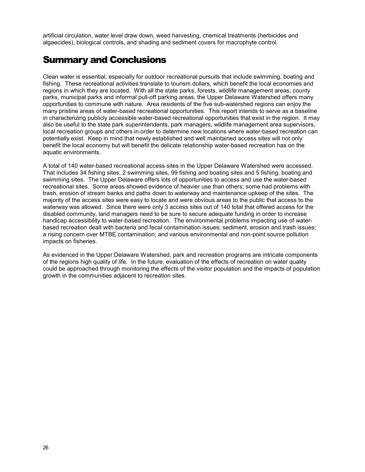<span id="page-33-0"></span>artificial circulation, water level draw down, weed harvesting, chemical treatments (herbicides and algaecides), biological controls, and shading and sediment covers for macrophyte control.

## Summary and Conclusions

Clean water is essential, especially for outdoor recreational pursuits that include swimming, boating and fishing. These recreational activities translate to tourism dollars, which benefit the local economies and regions in which they are located. With all the state parks, forests, wildlife management areas, county parks, municipal parks and informal pull-off parking areas, the Upper Delaware Watershed offers many opportunities to commune with nature. Area residents of the five sub-watershed regions can enjoy the many pristine areas of water-based recreational opportunities. This report intends to serve as a baseline in characterizing publicly accessible water-based recreational opportunities that exist in the region. It may also be useful to the state park superintendents, park managers, wildlife management area supervisors, local recreation groups and others in order to determine new locations where water-based recreation can potentially exist. Keep in mind that newly established and well maintained access sites will not only benefit the local economy but will benefit the delicate relationship water-based recreation has on the aquatic environments.

A total of 140 water-based recreational access sites in the Upper Delaware Watershed were accessed. That includes 34 fishing sites, 2 swimming sites, 99 fishing and boating sites and 5 fishing, boating and swimming sites. The Upper Delaware offers lots of opportunities to access and use the water-based recreational sites. Some areas showed evidence of heavier use than others; some had problems with trash, erosion of stream banks and paths down to waterway and maintenance upkeep of the sites. The majority of the access sites were easy to locate and were obvious areas to the public that access to the waterway was allowed. Since there were only 3 access sites out of 140 total that offered access for the disabled community, land managers need to be sure to secure adequate funding in order to increase handicap accessibility to water-based recreation. The environmental problems impacting use of waterbased recreation dealt with bacteria and fecal contamination issues; sediment, erosion and trash issues; a rising concern over MTBE contamination; and various environmental and non-point source pollution impacts on fisheries.

As evidenced in the Upper Delaware Watershed, park and recreation programs are intricate components of the regions high quality of life. In the future, evaluation of the effects of recreation on water quality could be approached through monitoring the effects of the visitor population and the impacts of population growth in the communities adjacent to recreation sites.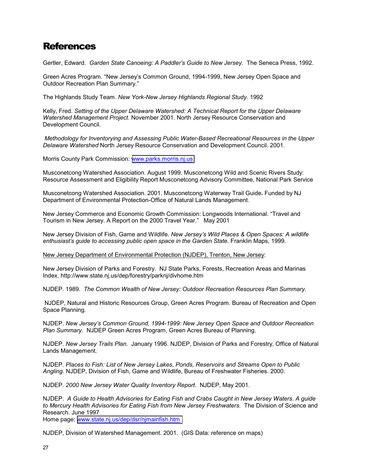## <span id="page-34-0"></span>**References**

Gertler, Edward. *Garden State Canoeing: A Paddler's Guide to New Jersey.* The Seneca Press, 1992.

Green Acres Program. "New Jersey's Common Ground, 1994-1999, New Jersey Open Space and Outdoor Recreation Plan Summary."

The Highlands Study Team. *New York-New Jersey Highlands Regional Study*. 1992

Kelly, Fred. *Setting of the Upper Delaware Watershed: A Technical Report for the Upper Delaware Watershed Management Project.* November 2001. North Jersey Resource Conservation and Development Council.

 *Methodology for Inventorying and Assessing Public Water-Based Recreational Resources in the Upper Delaware Watershed* North Jersey Resource Conservation and Development Council. 2001.

Morris County Park Commission: [www.parks.morris.nj.us](http://www.parks.morris.nj.us/)

Musconetcong Watershed Association. August 1999. Musconetcong Wild and Scenic Rivers Study: Resource Assessment and Eligibility Report Musconetcong Advisory Committee, National Park Service

Musconetcong Watershed Association. 2001. Musconetcong Waterway Trail Guide**.** Funded by NJ Department of Environmental Protection-Office of Natural Lands Management.

New Jersey Commerce and Economic Growth Commission: Longwoods International. "Travel and Tourism in New Jersey. A Report on the 2000 Travel Year." May 2001

New Jersey Division of Fish, Game and Wildlife. *New Jersey's Wild Places & Open Spaces: A wildlife enthusiast's guide to accessing public open space in the Garden State.* Franklin Maps, 1999.

New Jersey Department of Environmental Protection (NJDEP), Trenton, New Jersey:

New Jersey Division of Parks and Forestry. NJ State Parks, Forests, Recreation Areas and Marinas Index. http://www.state.nj.us/dep/forestry/parknj/divhome.htm

NJDEP. 1989. *The Common Wealth of New Jersey: Outdoor Recreation Resources Plan Summary.*

 NJDEP, Natural and Historic Resources Group, Green Acres Program. Bureau of Recreation and Open Space Planning.

NJDEP. *New Jersey's Common Ground, 1994-1999: New Jersey Open Space and Outdoor Recreation Plan Summary*. NJDEP Green Acres Program, Green Acres Bureau of Planning.

NJDEP. *New Jersey Trails Plan*. January 1996. NJDEP, Division of Parks and Forestry, Office of Natural Lands Management.

NJDEP. *Places to Fish: List of New Jersey Lakes, Ponds, Reservoirs and Streams Open to Public Angling*. NJDEP, Division of Fish, Game and Wildlife, Bureau of Freshwater Fisheries. 2000.

NJDEP. *2000 New Jersey Water Quality Inventory Report*. NJDEP, May 2001.

NJDEP. *A Guide to Health Advisories for Eating Fish and Crabs Caught in New Jersey Waters. A guide to Mercury Health Advisories for Eating Fish from New Jersey Freshwaters.* The Division of Science and Research. June 1997

Home page: [www.state.nj.us/dep/dsr/njmainfish.htm](http://www.state.nj.us/dep/dsr/njmainfish.htm)

NJDEP, Division of Watershed Management. 2001. (GIS Data: reference on maps)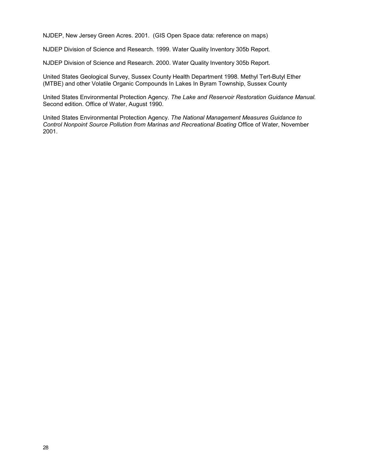NJDEP, New Jersey Green Acres. 2001. (GIS Open Space data: reference on maps)

NJDEP Division of Science and Research. 1999. Water Quality Inventory 305b Report.

NJDEP Division of Science and Research. 2000. Water Quality Inventory 305b Report.

United States Geological Survey, Sussex County Health Department 1998. Methyl Tert-Butyl Ether (MTBE) and other Volatile Organic Compounds In Lakes In Byram Township, Sussex County

United States Environmental Protection Agency. *The Lake and Reservoir Restoration Guidance Manual.*  Second edition. Office of Water, August 1990.

United States Environmental Protection Agency. *The National Management Measures Guidance to Control Nonpoint Source Pollution from Marinas and Recreational Boating* Office of Water, November 2001.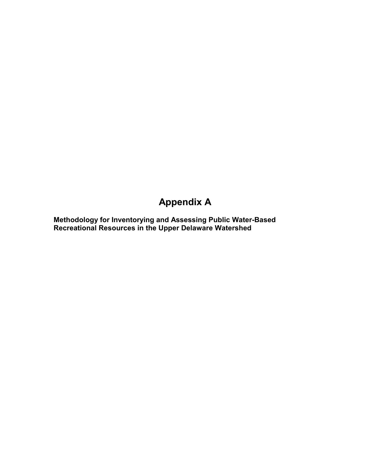## **Appendix A**

**Methodology for Inventorying and Assessing Public Water-Based Recreational Resources in the Upper Delaware Watershed**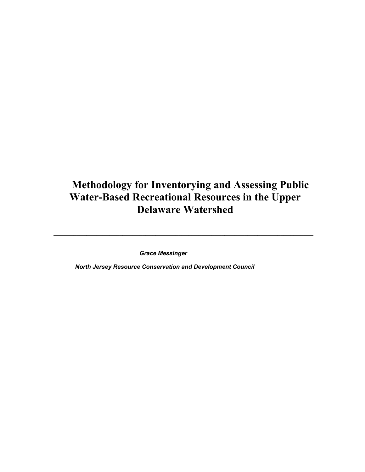## **Methodology for Inventorying and Assessing Public Water-Based Recreational Resources in the Upper Delaware Watershed**

*\_\_\_\_\_\_\_\_\_\_\_\_\_\_\_\_\_\_\_\_\_\_\_\_\_\_\_\_\_\_\_\_\_\_\_\_\_\_\_\_\_\_\_\_\_\_\_\_\_\_\_\_\_\_\_\_\_\_\_\_\_\_\_\_\_\_\_\_\_\_\_\_\_\_\_\_\_\_\_* 

 *Grace Messinger* 

 *North Jersey Resource Conservation and Development Council*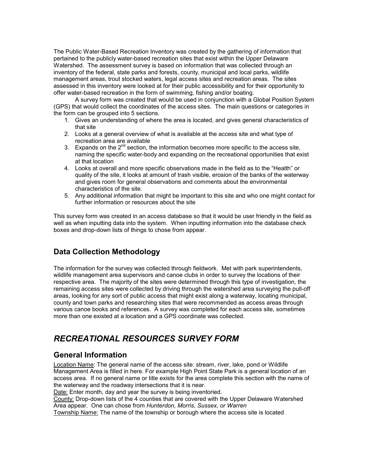The Public Water-Based Recreation Inventory was created by the gathering of information that pertained to the publicly water-based recreation sites that exist within the Upper Delaware Watershed. The assessment survey is based on information that was collected through an inventory of the federal, state parks and forests, county, municipal and local parks, wildlife management areas, trout stocked waters, legal access sites and recreation areas. The sites assessed in this inventory were looked at for their public accessibility and for their opportunity to offer water-based recreation in the form of swimming, fishing and/or boating.

 A survey form was created that would be used in conjunction with a Global Position System (GPS) that would collect the coordinates of the access sites. The main questions or categories in the form can be grouped into 5 sections.

- 1. Gives an understanding of where the area is located, and gives general characteristics of that site
- 2. Looks at a general overview of what is available at the access site and what type of recreation area are available
- 3. Expands on the  $2^{nd}$  section, the information becomes more specific to the access site, naming the specific water-body and expanding on the recreational opportunities that exist at that location
- 4. Looks at overall and more specific observations made in the field as to the "Health" or quality of the site, it looks at amount of trash visible, erosion of the banks of the waterway and gives room for general observations and comments about the environmental characteristics of the site.
- 5. Any additional information that might be important to this site and who one might contact for further information or resources about the site

This survey form was created in an access database so that it would be user friendly in the field as well as when inputting data into the system. When inputting information into the database check boxes and drop-down lists of things to chose from appear.

## **Data Collection Methodology**

The information for the survey was collected through fieldwork. Met with park superintendents, wildlife management area supervisors and canoe clubs in order to survey the locations of their respective area. The majority of the sites were determined through this type of investigation, the remaining access sites were collected by driving through the watershed area surveying the pull-off areas, looking for any sort of public access that might exist along a waterway, locating municipal, county and town parks and researching sites that were recommended as access areas through various canoe books and references. A survey was completed for each access site, sometimes more than one existed at a location and a GPS coordinate was collected.

## *RECREATIONAL RESOURCES SURVEY FORM*

#### **General Information**

Location Name: The general name of the access site: stream, river, lake, pond or Wildlife Management Area is filled in here. For example High Point State Park is a general location of an access area. If no general name or title exists for the area complete this section with the name of the waterway and the roadway intersections that it is near.

Date: Enter month, day and year the survey is being inventoried.

County: Drop-down lists of the 4 counties that are covered with the Upper Delaware Watershed Area appear. One can chose from *Hunterdon, Morris*, *Sussex, or Warren* 

Township Name: The name of the township or borough where the access site is located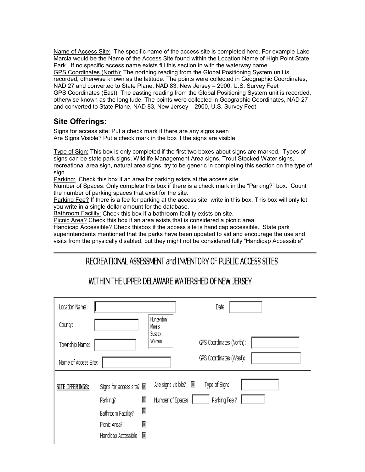Name of Access Site: The specific name of the access site is completed here. For example Lake Marcia would be the Name of the Access Site found within the Location Name of High Point State Park. If no specific access name exists fill this section in with the waterway name. GPS Coordinates (North): The northing reading from the Global Positioning System unit is recorded, otherwise known as the latitude. The points were collected in Geographic Coordinates, NAD 27 and converted to State Plane, NAD 83, New Jersey – 2900, U.S. Survey Feet GPS Coordinates (East): The easting reading from the Global Positioning System unit is recorded, otherwise known as the longitude. The points were collected in Geographic Coordinates, NAD 27 and converted to State Plane, NAD 83, New Jersey – 2900, U.S. Survey Feet

## **Site Offerings:**

Signs for access site: Put a check mark if there are any signs seen Are Signs Visible? Put a check mark in the box if the signs are visible.

Type of Sign: This box is only completed if the first two boxes about signs are marked. Types of signs can be state park signs, Wildlife Management Area signs, Trout Stocked Water signs, recreational area sign, natural area signs, try to be generic in completing this section on the type of sign.

Parking: Check this box if an area for parking exists at the access site.

Number of Spaces: Only complete this box if there is a check mark in the "Parking?" box. Count the number of parking spaces that exist for the site.

Parking Fee? If there is a fee for parking at the access site, write in this box. This box will only let you write in a single dollar amount for the database.

Bathroom Facility: Check this box if a bathroom facility exists on site.

Picnic Area? Check this box if an area exists that is considered a picnic area.

Handicap Accessible? Check thisbox if the access site is handicap accessible. State park superintendents mentioned that the parks have been updated to aid and encourage the use and visits from the physically disabled, but they might not be considered fully "Handicap Accessible"

## RECREATIONAL ASSESSMENT and INVENTORY OF PUBLIC ACCESS SITES

## WITHIN THE UPPER DELAWARE WATERSHED OF NEW JERSEY

| Location Name:         |                          |                               |                  | Date                     |  |
|------------------------|--------------------------|-------------------------------|------------------|--------------------------|--|
| County:                |                          | Hunterdon<br>Morris<br>Sussex |                  |                          |  |
| Township Name:         |                          | Warren                        |                  | GPS Coordinates (North): |  |
| Name of Access Site:   |                          |                               |                  | GPS Coordinates (West):  |  |
| <b>SITE OFFERINGS:</b> | Signs for access site? 圖 |                               |                  | Type of Sign:            |  |
|                        | ▒<br>Parking?            |                               | Number of Spaces | Parking Fee ?            |  |
|                        | ▒<br>Bathroom Facility?  |                               |                  |                          |  |
|                        | ▒<br>Picnic Area?        |                               |                  |                          |  |
|                        | 屬<br>Handicap Accessible |                               |                  |                          |  |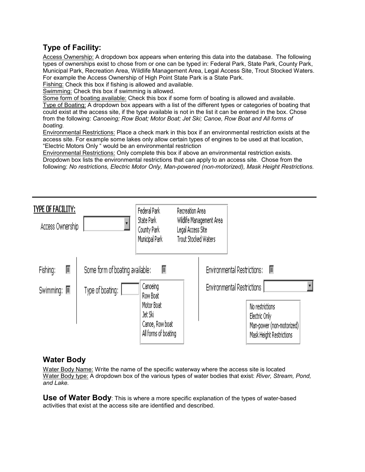## **Type of Facility:**

Access Ownership: A dropdown box appears when entering this data into the database. The following types of ownerships exist to chose from or one can be typed in: Federal Park, State Park, County Park, Municipal Park, Recreation Area, Wildlife Management Area, Legal Access Site, Trout Stocked Waters. For example the Access Ownership of High Point State Park is a State Park.

Fishing: Check this box if fishing is allowed and available.

Swimming: Check this box if swimming is allowed.

Some form of boating available: Check this box if some form of boating is allowed and available. Type of Boating: A dropdown box appears with a list of the different types or categories of boating that could exist at the access site, if the type available is not in the list it can be entered in the box. Chose from the following: *Canoeing; Row Boat; Motor Boat; Jet Ski; Canoe, Row Boat and All forms of boating.* 

Environmental Restrictions: Place a check mark in this box if an environmental restriction exists at the access site. For example some lakes only allow certain types of engines to be used at that location, "Electric Motors Only " would be an environmental restriction

Environmental Restrictions: Only complete this box if above an environmental restriction exists. Dropdown box lists the environmental restrictions that can apply to an access site. Chose from the following: *No restrictions, Electric Motor Only, Man-powered (non-motorized), Mask Height Restrictions.* 



#### **Water Body**

Water Body Name: Write the name of the specific waterway where the access site is located Water Body type: A dropdown box of the various types of water bodies that exist: *River, Stream, Pond, and Lake.*

**Use of Water Body**: This is where a more specific explanation of the types of water-based activities that exist at the access site are identified and described.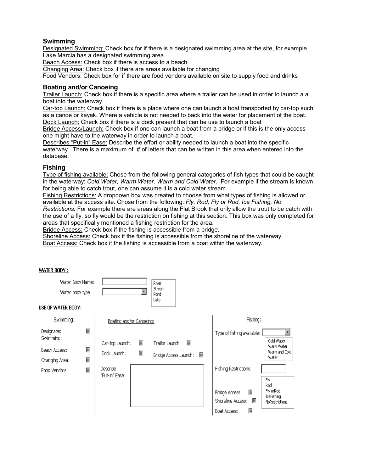#### **Swimming**

Designated Swimming: Check box for if there is a designated swimming area at the site, for example Lake Marcia has a designated swimming area

Beach Access: Check box if there is access to a beach

Changing Area: Check box if there are areas available for changing

Food Vendors: Check box for if there are food vendors available on site to supply food and drinks

#### **Boating and/or Canoeing**

Trailer Launch: Check box if there is a specific area where a trailer can be used in order to launch a a boat into the waterway

Car-top Launch: Check box if there is a place where one can launch a boat transported by car-top such as a canoe or kayak. Where a vehicle is not needed to back into the water for placement of the boat. Dock Launch: Check box if there is a dock present that can be use to launch a boat

Bridge Access/Launch: Check box if one can launch a boat from a bridge or if this is the only access one might have to the waterway in order to launch a boat.

Describes "Put-in" Ease: Describe the effort or ability needed to launch a boat into the specific waterway. There is a maximum of # of letters that can be written in this area when entered into the database.

#### **Fishing**

Type of fishing available: Chose from the following general categories of fish types that could be caught in the waterway: *Cold Water, Warm Water, Warm and Cold Water.* For example if the stream is known for being able to catch trout, one can assume it is a cold water stream.

Fishing Restrictions: A dropdown box was created to choose from what types of fishing is allowed or available at the access site. Chose from the following: *Fly, Rod, Fly or Rod, Ice Fishing, No* 

*Restrictions.* For example there are areas along the Flat Brook that only allow the trout to be catch with the use of a fly, so fly would be the restriction on fishing at this section. This box was only completed for areas that specifically mentioned a fishing restriction for the area.

Bridge Access: Check box if the fishing is accessible from a bridge.

Shoreline Access: Check box if the fishing is accessible from the shoreline of the waterway. Boat Access: Check box if the fishing is accessible from a boat within the waterway.

**WATER BODY:** 

| Water Body Name:<br>Water body type<br>JSE OF WATER BODY: |        |                            |   | River<br><b>Stream</b><br>Pond<br>Lake |                                                                                                                                                               |
|-----------------------------------------------------------|--------|----------------------------|---|----------------------------------------|---------------------------------------------------------------------------------------------------------------------------------------------------------------|
| Swimming:                                                 |        | Boating and/or Canoeing:   |   |                                        | Fishing:                                                                                                                                                      |
| Designated<br>Swimming:                                   | 屬      | Car-top Launch:            | 屬 | 一<br>Trailor Launch                    | Type of fishing available:<br>۰<br>Cold Water                                                                                                                 |
| Beach Access:<br>Changing Area:                           | 屬<br>屬 | Dock Launch:               | 屬 | Bridge Access Launch:                  | Warm Water<br>Warm and Cold<br>Water                                                                                                                          |
| Food Vendors                                              | 屬      | Describe<br>"Put-in" Ease: |   |                                        | Fishing Restrictions:<br>Fly<br>Rod<br>Fly orRod<br>Bridge Access:<br>屬<br>IceFishing<br>Shoreline Access:<br>羉<br>NoRestrictions<br>屬<br><b>Boat Access:</b> |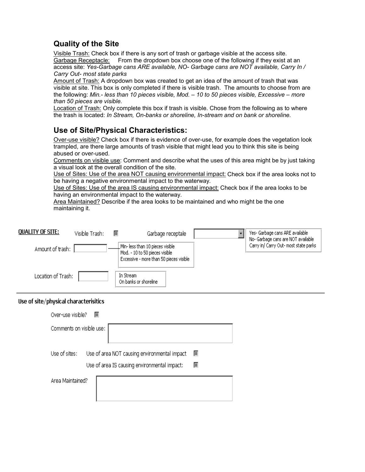## **Quality of the Site**

Visible Trash: Check box if there is any sort of trash or garbage visible at the access site. Garbage Receptacle: From the dropdown box choose one of the following if they exist at an access site: *Yes-Garbage cans ARE available, NO- Garbage cans are NOT available, Carry In / Carry Out- most state parks*

Amount of Trash: A dropdown box was created to get an idea of the amount of trash that was visible at site. This box is only completed if there is visible trash. The amounts to choose from are the following: *Min.- less than 10 pieces visible, Mod. – 10 to 50 pieces visible, Excessive – more than 50 pieces are visible.* 

Location of Trash: Only complete this box if trash is visible. Chose from the following as to where the trash is located: *In Stream, On-banks or shoreline, In-stream and on bank or shoreline.*

## **Use of Site/Physical Characteristics:**

Over-use visible? Check box if there is evidence of over-use, for example does the vegetation look trampled, are there large amounts of trash visible that might lead you to think this site is being abused or over-used.

Comments on visible use: Comment and describe what the uses of this area might be by just taking a visual look at the overall condition of the site.

Use of Sites: Use of the area NOT causing environmental impact: Check box if the area looks not to be having a negative environmental impact to the waterway.

Use of Sites: Use of the area IS causing environmental impact: Check box if the area looks to be having an environmental impact to the waterway.

Area Maintained? Describe if the area looks to be maintained and who might be the one maintaining it.

| <b>QUALITY OF SITE:</b> | Visible Trash: | 羉 | Garbage receptale                                                                                             | Yes- Garbage cans ARE available<br>No- Garbage cans are NOT available |
|-------------------------|----------------|---|---------------------------------------------------------------------------------------------------------------|-----------------------------------------------------------------------|
| Amount of trash:        |                |   | Min- less than 10 pieces visible<br>Mod. - 10 to 50 pieces visible<br>Excessive - more than 50 pieces visible | Carry in/ Carry Out- most state parks                                 |
| Location of Trash:      |                |   | In Stream<br>On banks or shoreline                                                                            |                                                                       |

#### Use of site/physical characterisitics

| Over-use visible?<br>圂   |                                                                                                        |
|--------------------------|--------------------------------------------------------------------------------------------------------|
| Comments on visible use: |                                                                                                        |
| Use of sites:            | Use of area NOT causing environmental impact<br>羉<br>Use of area IS causing environmental impact:<br>屬 |
| Area Maintained?         |                                                                                                        |